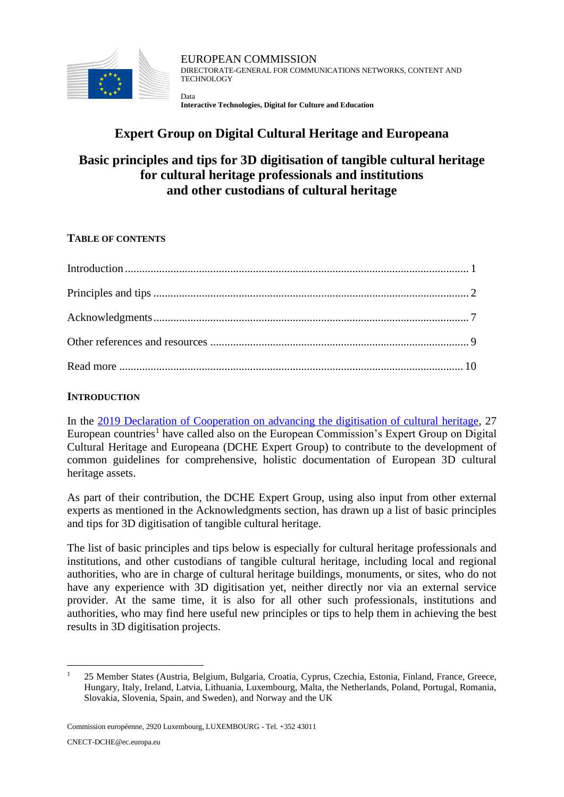

EUROPEAN COMMISSION DIRECTORATE-GENERAL FOR COMMUNICATIONS NETWORKS, CONTENT AND TECHNOLOGY Data

**Interactive Technologies, Digital for Culture and Education**

# **Expert Group on Digital Cultural Heritage and Europeana**

# **Basic principles and tips for 3D digitisation of tangible cultural heritage for cultural heritage professionals and institutions and other custodians of cultural heritage**

## **TABLE OF CONTENTS**

## <span id="page-0-0"></span>**INTRODUCTION**

In the [2019 Declaration of Cooperation on advancing the digitisation of cultural heritage,](https://ec.europa.eu/digital-single-market/en/news/eu-member-states-sign-cooperate-digitising-cultural-heritage) 27 European countries<sup>1</sup> have called also on the European Commission's Expert Group on Digital Cultural Heritage and Europeana (DCHE Expert Group) to contribute to the development of common guidelines for comprehensive, holistic documentation of European 3D cultural heritage assets.

As part of their contribution, the DCHE Expert Group, using also input from other external experts as mentioned in the Acknowledgments section, has drawn up a list of basic principles and tips for 3D digitisation of tangible cultural heritage.

The list of basic principles and tips below is especially for cultural heritage professionals and institutions, and other custodians of tangible cultural heritage, including local and regional authorities, who are in charge of cultural heritage buildings, monuments, or sites, who do not have any experience with 3D digitisation yet, neither directly nor via an external service provider. At the same time, it is also for all other such professionals, institutions and authorities, who may find here useful new principles or tips to help them in achieving the best results in 3D digitisation projects.

<sup>1</sup> 25 Member States (Austria, Belgium, Bulgaria, Croatia, Cyprus, Czechia, Estonia, Finland, France, Greece, Hungary, Italy, Ireland, Latvia, Lithuania, Luxembourg, Malta, the Netherlands, Poland, Portugal, Romania, Slovakia, Slovenia, Spain, and Sweden), and Norway and the UK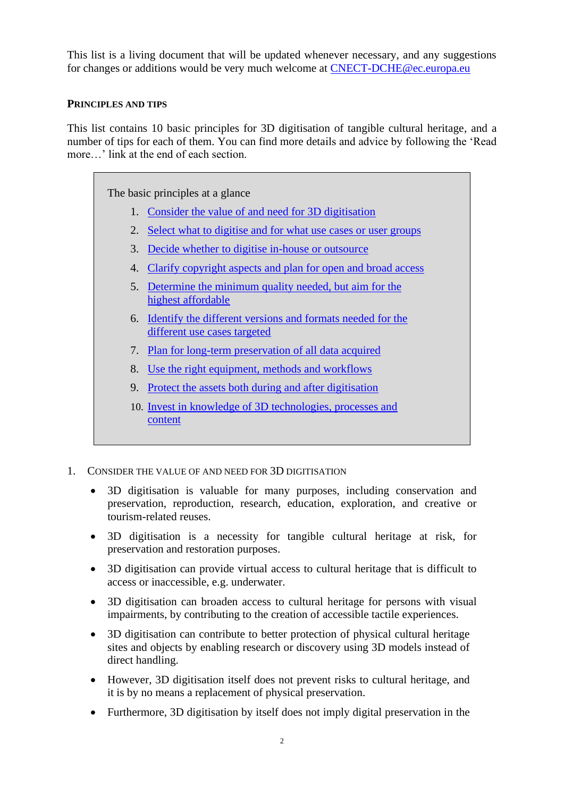This list is a living document that will be updated whenever necessary, and any suggestions for changes or additions would be very much welcome at [CNECT-DCHE@ec.europa.eu](mailto:CNECT-DCHE@ec.europa.eu?subject=DCHE%20principles%20and%20tips%20for%203D%20digitisation)

### <span id="page-1-0"></span>**PRINCIPLES AND TIPS**

This list contains 10 basic principles for 3D digitisation of tangible cultural heritage, and a number of tips for each of them. You can find more details and advice by following the 'Read more…' link at the end of each section.

The basic principles at a glance 1. [Consider the value of and need for 3D digitisation](#page-1-1) 2. [Select what to digitise and for what use cases or user groups](#page-2-0) 3. [Decide whether to digitise in-house or outsource](#page-2-1) 4. [Clarify copyright aspects and plan for open and broad access](#page-2-2) 5. [Determine the minimum quality needed, but aim for the](#page-3-0)  [highest affordable](#page-3-0) 6. [Identify the different versions and formats needed for the](#page-3-1)  [different use cases targeted](#page-3-1) 7. [Plan for long-term preservation of all data acquired](#page-4-0) 8. [Use the right equipment, methods and workflows](#page-4-1) 9. [Protect the assets both during and after digitisation](#page-5-0) 10. [Invest in knowledge of 3D technologies, processes and](#page-5-1)  [content](#page-5-1)

- <span id="page-1-1"></span>1. CONSIDER THE VALUE OF AND NEED FOR 3D DIGITISATION
	- 3D digitisation is valuable for many purposes, including conservation and preservation, reproduction, research, education, exploration, and creative or tourism-related reuses.
	- 3D digitisation is a necessity for tangible cultural heritage at risk, for preservation and restoration purposes.
	- 3D digitisation can provide virtual access to cultural heritage that is difficult to access or inaccessible, e.g. underwater.
	- 3D digitisation can broaden access to cultural heritage for persons with visual impairments, by contributing to the creation of accessible tactile experiences.
	- 3D digitisation can contribute to better protection of physical cultural heritage sites and objects by enabling research or discovery using 3D models instead of direct handling.
	- However, 3D digitisation itself does not prevent risks to cultural heritage, and it is by no means a replacement of physical preservation.
	- Furthermore, 3D digitisation by itself does not imply digital preservation in the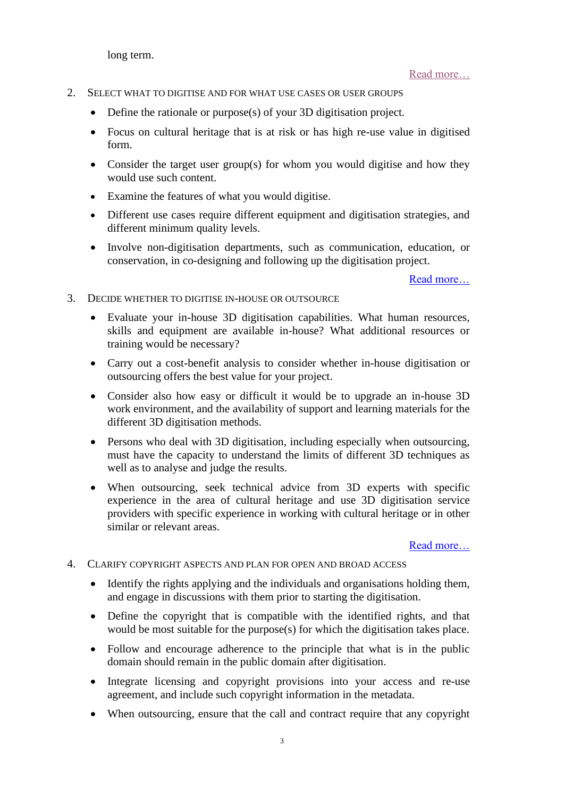long term.

[Read more…](#page-9-1)

- <span id="page-2-0"></span>2. SELECT WHAT TO DIGITISE AND FOR WHAT USE CASES OR USER GROUPS
	- Define the rationale or purpose(s) of your 3D digitisation project.
	- Focus on cultural heritage that is at risk or has high re-use value in digitised form.
	- Consider the target user group(s) for whom you would digitise and how they would use such content.
	- Examine the features of what you would digitise.
	- Different use cases require different equipment and digitisation strategies, and different minimum quality levels.
	- Involve non-digitisation departments, such as communication, education, or conservation, in co-designing and following up the digitisation project.

[Read more…](#page-10-0)

- <span id="page-2-1"></span>3. DECIDE WHETHER TO DIGITISE IN-HOUSE OR OUTSOURCE
	- Evaluate your in-house 3D digitisation capabilities. What human resources, skills and equipment are available in-house? What additional resources or training would be necessary?
	- Carry out a cost-benefit analysis to consider whether in-house digitisation or outsourcing offers the best value for your project.
	- Consider also how easy or difficult it would be to upgrade an in-house 3D work environment, and the availability of support and learning materials for the different 3D digitisation methods.
	- Persons who deal with 3D digitisation, including especially when outsourcing, must have the capacity to understand the limits of different 3D techniques as well as to analyse and judge the results.
	- When outsourcing, seek technical advice from 3D experts with specific experience in the area of cultural heritage and use 3D digitisation service providers with specific experience in working with cultural heritage or in other similar or relevant areas.

- <span id="page-2-2"></span>4. CLARIFY COPYRIGHT ASPECTS AND PLAN FOR OPEN AND BROAD ACCESS
	- Identify the rights applying and the individuals and organisations holding them, and engage in discussions with them prior to starting the digitisation.
	- Define the copyright that is compatible with the identified rights, and that would be most suitable for the purpose(s) for which the digitisation takes place.
	- Follow and encourage adherence to the principle that what is in the public domain should remain in the public domain after digitisation.
	- Integrate licensing and copyright provisions into your access and re-use agreement, and include such copyright information in the metadata.
	- When outsourcing, ensure that the call and contract require that any copyright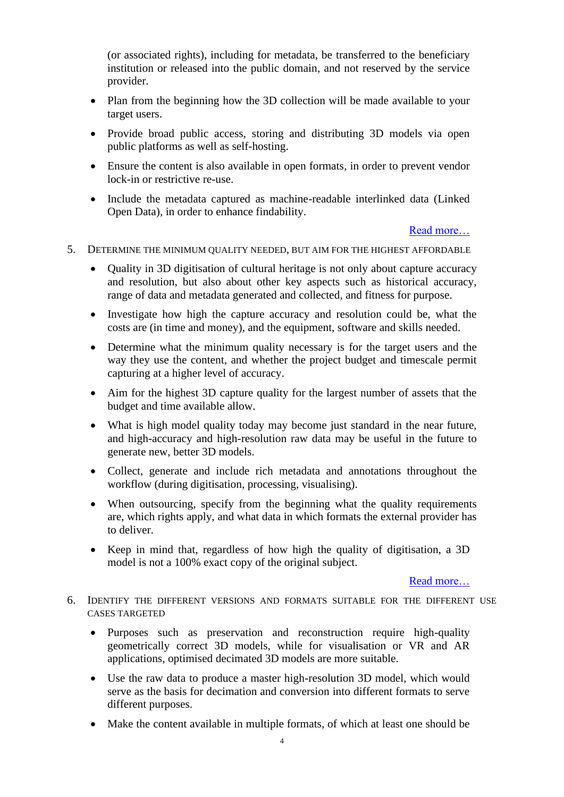(or associated rights), including for metadata, be transferred to the beneficiary institution or released into the public domain, and not reserved by the service provider.

- Plan from the beginning how the 3D collection will be made available to your target users.
- Provide broad public access, storing and distributing 3D models via open public platforms as well as self-hosting.
- Ensure the content is also available in open formats, in order to prevent vendor lock-in or restrictive re-use.
- Include the metadata captured as machine-readable interlinked data (Linked Open Data), in order to enhance findability.

[Read more…](#page-14-0)

- <span id="page-3-0"></span>5. DETERMINE THE MINIMUM QUALITY NEEDED, BUT AIM FOR THE HIGHEST AFFORDABLE
	- Quality in 3D digitisation of cultural heritage is not only about capture accuracy and resolution, but also about other key aspects such as historical accuracy, range of data and metadata generated and collected, and fitness for purpose.
	- Investigate how high the capture accuracy and resolution could be, what the costs are (in time and money), and the equipment, software and skills needed.
	- Determine what the minimum quality necessary is for the target users and the way they use the content, and whether the project budget and timescale permit capturing at a higher level of accuracy.
	- Aim for the highest 3D capture quality for the largest number of assets that the budget and time available allow.
	- What is high model quality today may become just standard in the near future, and high-accuracy and high-resolution raw data may be useful in the future to generate new, better 3D models.
	- Collect, generate and include rich metadata and annotations throughout the workflow (during digitisation, processing, visualising).
	- When outsourcing, specify from the beginning what the quality requirements are, which rights apply, and what data in which formats the external provider has to deliver.
	- Keep in mind that, regardless of how high the quality of digitisation, a 3D model is not a 100% exact copy of the original subject.

- <span id="page-3-1"></span>6. IDENTIFY THE DIFFERENT VERSIONS AND FORMATS SUITABLE FOR THE DIFFERENT USE CASES TARGETED
	- Purposes such as preservation and reconstruction require high-quality geometrically correct 3D models, while for visualisation or VR and AR applications, optimised decimated 3D models are more suitable.
	- Use the raw data to produce a master high-resolution 3D model, which would serve as the basis for decimation and conversion into different formats to serve different purposes.
	- Make the content available in multiple formats, of which at least one should be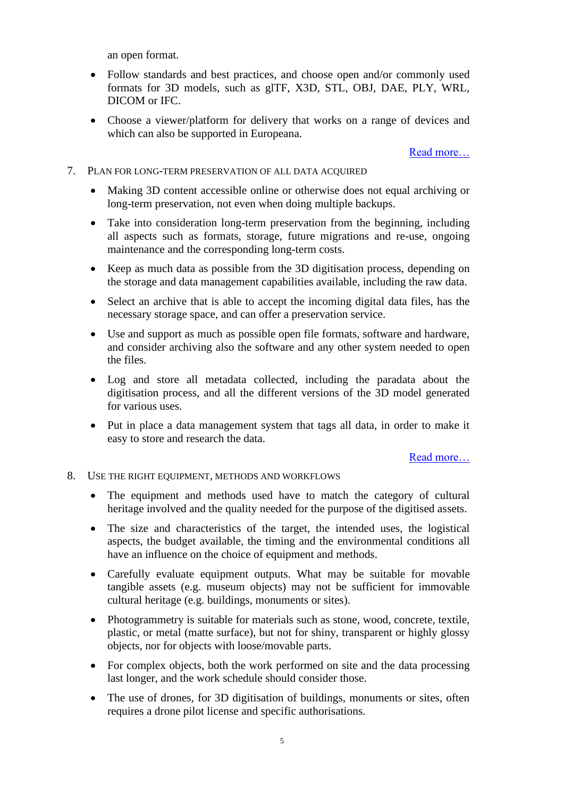an open format.

- Follow standards and best practices, and choose open and/or commonly used formats for 3D models, such as glTF, X3D, STL, OBJ, DAE, PLY, WRL, DICOM or IFC.
- Choose a viewer/platform for delivery that works on a range of devices and which can also be supported in Europeana.

[Read more…](#page-20-0)

- <span id="page-4-0"></span>7. PLAN FOR LONG-TERM PRESERVATION OF ALL DATA ACQUIRED
	- Making 3D content accessible online or otherwise does not equal archiving or long-term preservation, not even when doing multiple backups.
	- Take into consideration long-term preservation from the beginning, including all aspects such as formats, storage, future migrations and re-use, ongoing maintenance and the corresponding long-term costs.
	- Keep as much data as possible from the 3D digitisation process, depending on the storage and data management capabilities available, including the raw data.
	- Select an archive that is able to accept the incoming digital data files, has the necessary storage space, and can offer a preservation service.
	- Use and support as much as possible open file formats, software and hardware, and consider archiving also the software and any other system needed to open the files.
	- Log and store all metadata collected, including the paradata about the digitisation process, and all the different versions of the 3D model generated for various uses.
	- Put in place a data management system that tags all data, in order to make it easy to store and research the data.

- <span id="page-4-1"></span>8. USE THE RIGHT EQUIPMENT, METHODS AND WORKFLOWS
	- The equipment and methods used have to match the category of cultural heritage involved and the quality needed for the purpose of the digitised assets.
	- The size and characteristics of the target, the intended uses, the logistical aspects, the budget available, the timing and the environmental conditions all have an influence on the choice of equipment and methods.
	- Carefully evaluate equipment outputs. What may be suitable for movable tangible assets (e.g. museum objects) may not be sufficient for immovable cultural heritage (e.g. buildings, monuments or sites).
	- Photogrammetry is suitable for materials such as stone, wood, concrete, textile, plastic, or metal (matte surface), but not for shiny, transparent or highly glossy objects, nor for objects with loose/movable parts.
	- For complex objects, both the work performed on site and the data processing last longer, and the work schedule should consider those.
	- The use of drones, for 3D digitisation of buildings, monuments or sites, often requires a drone pilot license and specific authorisations.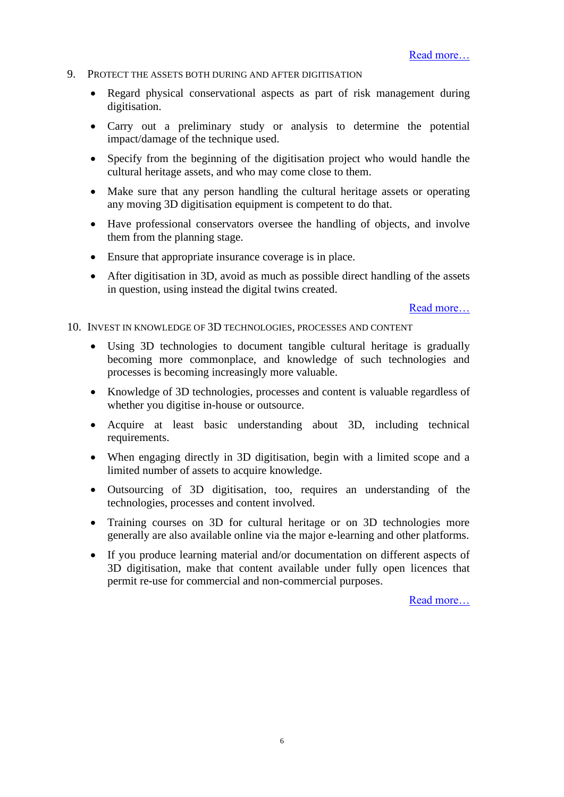#### <span id="page-5-0"></span>9. PROTECT THE ASSETS BOTH DURING AND AFTER DIGITISATION

- Regard physical conservational aspects as part of risk management during digitisation.
- Carry out a preliminary study or analysis to determine the potential impact/damage of the technique used.
- Specify from the beginning of the digitisation project who would handle the cultural heritage assets, and who may come close to them.
- Make sure that any person handling the cultural heritage assets or operating any moving 3D digitisation equipment is competent to do that.
- Have professional conservators oversee the handling of objects, and involve them from the planning stage.
- Ensure that appropriate insurance coverage is in place.
- After digitisation in 3D, avoid as much as possible direct handling of the assets in question, using instead the digital twins created.

[Read more…](#page-27-0)

<span id="page-5-1"></span>10. INVEST IN KNOWLEDGE OF 3D TECHNOLOGIES, PROCESSES AND CONTENT

- Using 3D technologies to document tangible cultural heritage is gradually becoming more commonplace, and knowledge of such technologies and processes is becoming increasingly more valuable.
- Knowledge of 3D technologies, processes and content is valuable regardless of whether you digitise in-house or outsource.
- Acquire at least basic understanding about 3D, including technical requirements.
- When engaging directly in 3D digitisation, begin with a limited scope and a limited number of assets to acquire knowledge.
- Outsourcing of 3D digitisation, too, requires an understanding of the technologies, processes and content involved.
- Training courses on 3D for cultural heritage or on 3D technologies more generally are also available online via the major e-learning and other platforms.
- If you produce learning material and/or documentation on different aspects of 3D digitisation, make that content available under fully open licences that permit re-use for commercial and non-commercial purposes.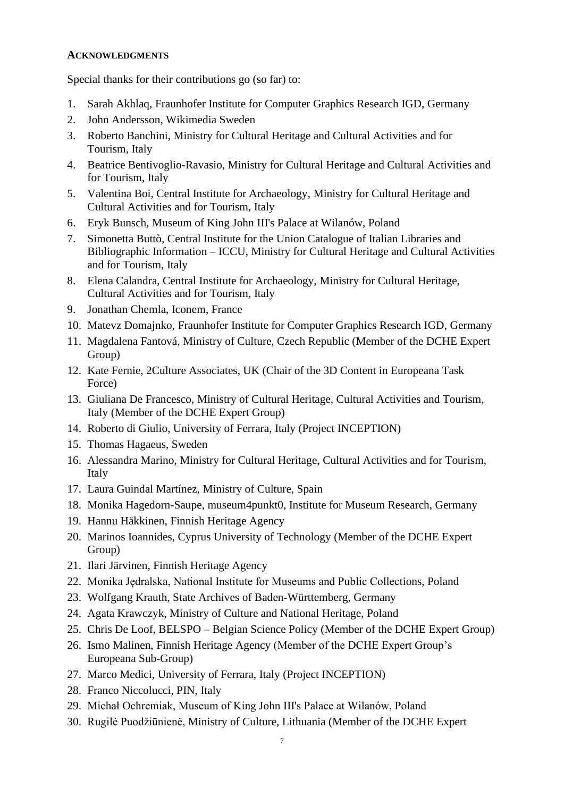#### <span id="page-6-0"></span>**ACKNOWLEDGMENTS**

Special thanks for their contributions go (so far) to:

- 1. Sarah Akhlaq, Fraunhofer Institute for Computer Graphics Research IGD, Germany
- 2. John Andersson, Wikimedia Sweden
- 3. Roberto Banchini, Ministry for Cultural Heritage and Cultural Activities and for Tourism, Italy
- 4. Beatrice Bentivoglio-Ravasio, Ministry for Cultural Heritage and Cultural Activities and for Tourism, Italy
- 5. Valentina Boi, Central Institute for Archaeology, Ministry for Cultural Heritage and Cultural Activities and for Tourism, Italy
- 6. Eryk Bunsch, Museum of King John III's Palace at Wilanów, Poland
- 7. Simonetta Buttò, Central Institute for the Union Catalogue of Italian Libraries and Bibliographic Information – ICCU, Ministry for Cultural Heritage and Cultural Activities and for Tourism, Italy
- 8. Elena Calandra, Central Institute for Archaeology, Ministry for Cultural Heritage, Cultural Activities and for Tourism, Italy
- 9. Jonathan Chemla, Iconem, France
- 10. Matevz Domajnko, Fraunhofer Institute for Computer Graphics Research IGD, Germany
- 11. Magdalena Fantová, Ministry of Culture, Czech Republic (Member of the DCHE Expert Group)
- 12. Kate Fernie, 2Culture Associates, UK (Chair of the 3D Content in Europeana Task Force)
- 13. Giuliana De Francesco, Ministry of Cultural Heritage, Cultural Activities and Tourism, Italy (Member of the DCHE Expert Group)
- 14. Roberto di Giulio, University of Ferrara, Italy (Project INCEPTION)
- 15. Thomas Hagaeus, Sweden
- 16. Alessandra Marino, Ministry for Cultural Heritage, Cultural Activities and for Tourism, Italy
- 17. Laura Guindal Martínez, Ministry of Culture, Spain
- 18. Monika Hagedorn-Saupe, museum4punkt0, Institute for Museum Research, Germany
- 19. Hannu Häkkinen, Finnish Heritage Agency
- 20. Marinos Ioannides, Cyprus University of Technology (Member of the DCHE Expert Group)
- 21. Ilari Järvinen, Finnish Heritage Agency
- 22. Monika Jędralska, National Institute for Museums and Public Collections, Poland
- 23. Wolfgang Krauth, State Archives of Baden-Württemberg, Germany
- 24. Agata Krawczyk, Ministry of Culture and National Heritage, Poland
- 25. Chris De Loof, BELSPO Belgian Science Policy (Member of the DCHE Expert Group)
- 26. Ismo Malinen, Finnish Heritage Agency (Member of the DCHE Expert Group's Europeana Sub-Group)
- 27. Marco Medici, University of Ferrara, Italy (Project INCEPTION)
- 28. Franco Niccolucci, PIN, Italy
- 29. Michał Ochremiak, Museum of King John III's Palace at Wilanów, Poland
- 30. Rugilė Puodžiūnienė, Ministry of Culture, Lithuania (Member of the DCHE Expert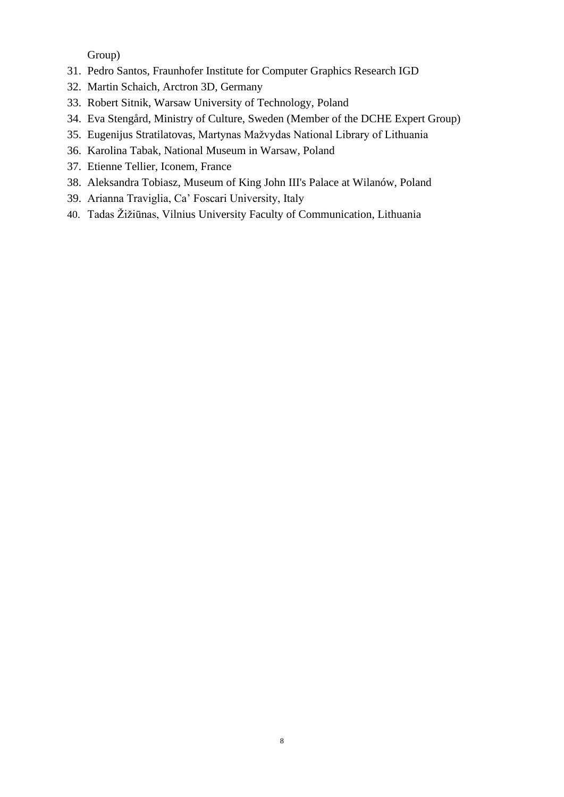Group)

- 31. Pedro Santos, Fraunhofer Institute for Computer Graphics Research IGD
- 32. Martin Schaich, Arctron 3D, Germany
- 33. Robert Sitnik, Warsaw University of Technology, Poland
- 34. Eva Stengård, Ministry of Culture, Sweden (Member of the DCHE Expert Group)
- 35. Eugenijus Stratilatovas, Martynas Mažvydas National Library of Lithuania
- 36. Karolina Tabak, National Museum in Warsaw, Poland
- 37. Etienne Tellier, Iconem, France
- 38. Aleksandra Tobiasz, Museum of King John III's Palace at Wilanów, Poland
- 39. Arianna Traviglia, Ca' Foscari University, Italy
- 40. Tadas Žižiūnas, Vilnius University Faculty of Communication, Lithuania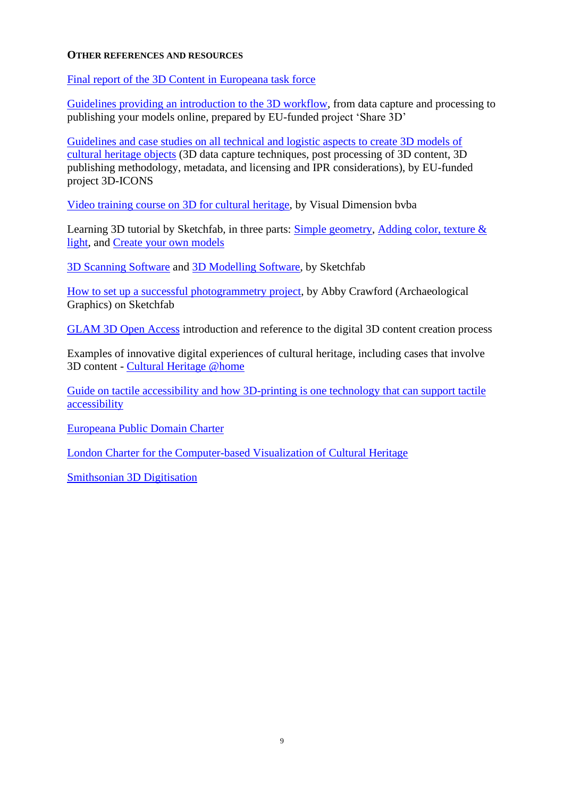#### <span id="page-8-0"></span>**OTHER REFERENCES AND RESOURCES**

Final report of the [3D Content in Europeana task force](https://pro.europeana.eu/files/Europeana_Professional/Europeana_Network/Europeana_Network_Task_Forces/Final_reports/3D-TF-final%20report.pdf)

[Guidelines providing an introduction to the 3D workflow,](https://carare.gitbook.io/share-3d-guidelines/3d-process/context) from data capture and processing to publishing your models online, prepared by EU-funded project 'Share 3D'

[Guidelines and case studies on all technical and logistic aspects to create 3D models of](http://3dicons-project.eu/guidelines-and-case-studies)  [cultural heritage objects](http://3dicons-project.eu/guidelines-and-case-studies) (3D data capture techniques, post processing of 3D content, 3D publishing methodology, metadata, and licensing and IPR considerations), by EU-funded project 3D-ICONS

[Video training course on 3D for cultural heritage,](https://www.youtube.com/playlist?list=PLES12m2e-0EiTw38upk3gW26bJ2VI9oR9) by Visual Dimension bvba

Learning 3D tutorial by Sketchfab, in three parts: [Simple geometry,](https://help.sketchfab.com/hc/en-us/articles/360017787651-Learning-3D-Part-I-Simple-geometry) Adding color, texture & [light,](https://help.sketchfab.com/hc/en-us/articles/360017510532-Learning-3D-Part-II-Adding-color-texture-light) and [Create your own models](https://help.sketchfab.com/hc/en-us/articles/360018825352-Learning-3D-Part-III-Create-your-own-models)

[3D Scanning Software](https://help.sketchfab.com/hc/en-us/articles/202591983-3D-Scanning-Software) and [3D Modelling Software,](https://help.sketchfab.com/hc/en-us/articles/202586363-3D-Modeling-Software) by Sketchfab

[How to set up a successful photogrammetry project,](https://sketchfab.com/blogs/community/how-to-set-up-a-successful-photogrammetry-project) by Abby Crawford (Archaeological Graphics) on Sketchfab

[GLAM 3D Open](https://glam3d.org/index.html) Access introduction and reference to the digital 3D content creation process

Examples of innovative digital experiences of cultural heritage, including cases that involve 3D content - [Cultural Heritage @home](https://ec.europa.eu/digital-single-market/en/news/cultural-heritage-home)

[Guide on tactile accessibility and how 3D-printing is one technology that can support tactile](https://www.raa.se/in-english/outreach-and-exhibitions/guide-for-increased-accessibility-through-3d-models/)  [accessibility](https://www.raa.se/in-english/outreach-and-exhibitions/guide-for-increased-accessibility-through-3d-models/)

[Europeana Public Domain Charter](https://www.europeana.eu/en/rights/public-domain-charter)

[London Charter for the Computer-based Visualization of Cultural Heritage](http://www.londoncharter.org/index.html)

[Smithsonian 3D Digitisation](https://3d.si.edu/)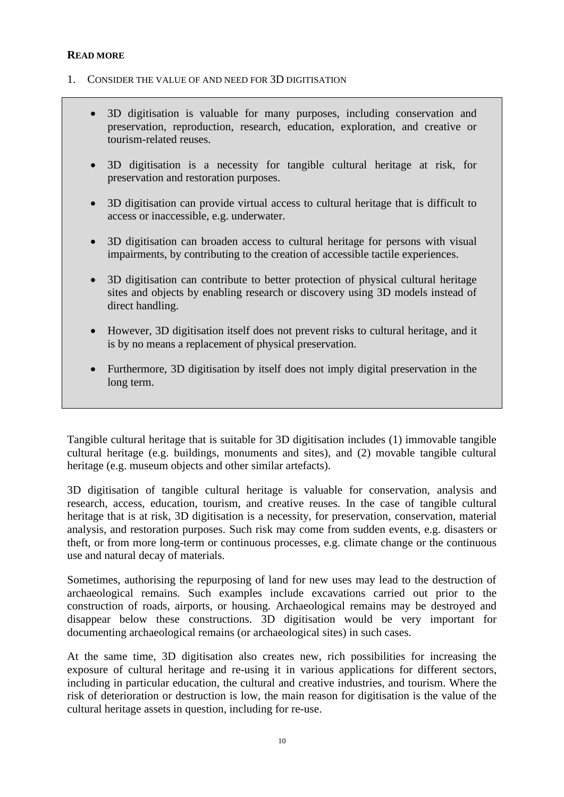### <span id="page-9-0"></span>**READ MORE**

- <span id="page-9-1"></span>1. CONSIDER THE VALUE OF AND NEED FOR 3D DIGITISATION
	- 3D digitisation is valuable for many purposes, including conservation and preservation, reproduction, research, education, exploration, and creative or tourism-related reuses.
	- 3D digitisation is a necessity for tangible cultural heritage at risk, for preservation and restoration purposes.
	- 3D digitisation can provide virtual access to cultural heritage that is difficult to access or inaccessible, e.g. underwater.
	- 3D digitisation can broaden access to cultural heritage for persons with visual impairments, by contributing to the creation of accessible tactile experiences.
	- 3D digitisation can contribute to better protection of physical cultural heritage sites and objects by enabling research or discovery using 3D models instead of direct handling.
	- However, 3D digitisation itself does not prevent risks to cultural heritage, and it is by no means a replacement of physical preservation.
	- Furthermore, 3D digitisation by itself does not imply digital preservation in the long term.

Tangible cultural heritage that is suitable for 3D digitisation includes (1) immovable tangible cultural heritage (e.g. buildings, monuments and sites), and (2) movable tangible cultural heritage (e.g. museum objects and other similar artefacts).

3D digitisation of tangible cultural heritage is valuable for conservation, analysis and research, access, education, tourism, and creative reuses. In the case of tangible cultural heritage that is at risk, 3D digitisation is a necessity, for preservation, conservation, material analysis, and restoration purposes. Such risk may come from sudden events, e.g. disasters or theft, or from more long-term or continuous processes, e.g. climate change or the continuous use and natural decay of materials.

Sometimes, authorising the repurposing of land for new uses may lead to the destruction of archaeological remains. Such examples include excavations carried out prior to the construction of roads, airports, or housing. Archaeological remains may be destroyed and disappear below these constructions. 3D digitisation would be very important for documenting archaeological remains (or archaeological sites) in such cases.

At the same time, 3D digitisation also creates new, rich possibilities for increasing the exposure of cultural heritage and re-using it in various applications for different sectors, including in particular education, the cultural and creative industries, and tourism. Where the risk of deterioration or destruction is low, the main reason for digitisation is the value of the cultural heritage assets in question, including for re-use.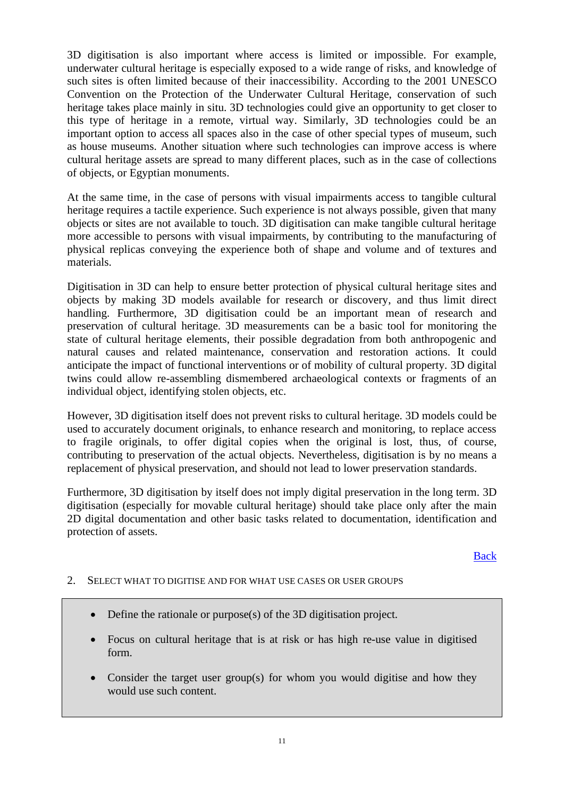3D digitisation is also important where access is limited or impossible. For example, underwater cultural heritage is especially exposed to a wide range of risks, and knowledge of such sites is often limited because of their inaccessibility. According to the 2001 UNESCO Convention on the Protection of the Underwater Cultural Heritage, conservation of such heritage takes place mainly in situ. 3D technologies could give an opportunity to get closer to this type of heritage in a remote, virtual way. Similarly, 3D technologies could be an important option to access all spaces also in the case of other special types of museum, such as house museums. Another situation where such technologies can improve access is where cultural heritage assets are spread to many different places, such as in the case of collections of objects, or Egyptian monuments.

At the same time, in the case of persons with visual impairments access to tangible cultural heritage requires a tactile experience. Such experience is not always possible, given that many objects or sites are not available to touch. 3D digitisation can make tangible cultural heritage more accessible to persons with visual impairments, by contributing to the manufacturing of physical replicas conveying the experience both of shape and volume and of textures and materials.

Digitisation in 3D can help to ensure better protection of physical cultural heritage sites and objects by making 3D models available for research or discovery, and thus limit direct handling. Furthermore, 3D digitisation could be an important mean of research and preservation of cultural heritage. 3D measurements can be a basic tool for monitoring the state of cultural heritage elements, their possible degradation from both anthropogenic and natural causes and related maintenance, conservation and restoration actions. It could anticipate the impact of functional interventions or of mobility of cultural property. 3D digital twins could allow re-assembling dismembered archaeological contexts or fragments of an individual object, identifying stolen objects, etc.

However, 3D digitisation itself does not prevent risks to cultural heritage. 3D models could be used to accurately document originals, to enhance research and monitoring, to replace access to fragile originals, to offer digital copies when the original is lost, thus, of course, contributing to preservation of the actual objects. Nevertheless, digitisation is by no means a replacement of physical preservation, and should not lead to lower preservation standards.

Furthermore, 3D digitisation by itself does not imply digital preservation in the long term. 3D digitisation (especially for movable cultural heritage) should take place only after the main 2D digital documentation and other basic tasks related to documentation, identification and protection of assets.

[Back](#page-1-1)

- <span id="page-10-0"></span>2. SELECT WHAT TO DIGITISE AND FOR WHAT USE CASES OR USER GROUPS
	- Define the rationale or purpose(s) of the 3D digitisation project.
	- Focus on cultural heritage that is at risk or has high re-use value in digitised form.
	- Consider the target user group(s) for whom you would digitise and how they would use such content.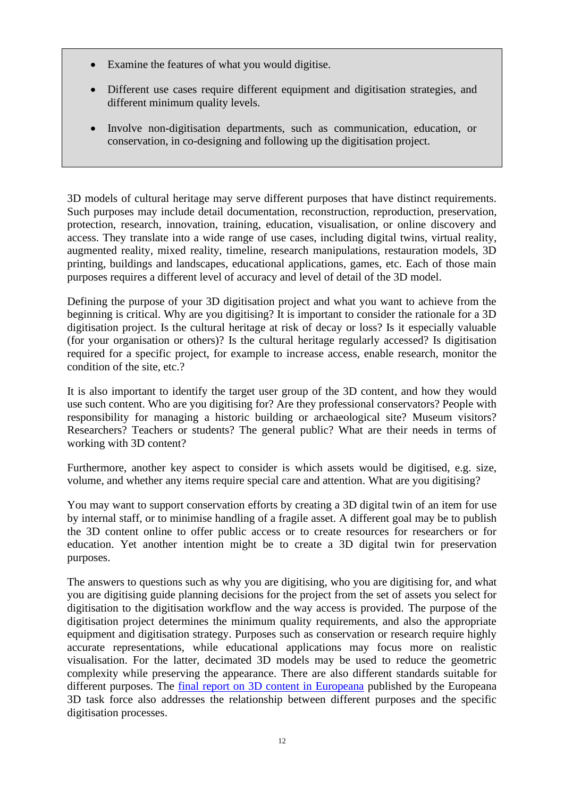- Examine the features of what you would digitise.
- Different use cases require different equipment and digitisation strategies, and different minimum quality levels.
- Involve non-digitisation departments, such as communication, education, or conservation, in co-designing and following up the digitisation project.

3D models of cultural heritage may serve different purposes that have distinct requirements. Such purposes may include detail documentation, reconstruction, reproduction, preservation, protection, research, innovation, training, education, visualisation, or online discovery and access. They translate into a wide range of use cases, including digital twins, virtual reality, augmented reality, mixed reality, timeline, research manipulations, restauration models, 3D printing, buildings and landscapes, educational applications, games, etc. Each of those main purposes requires a different level of accuracy and level of detail of the 3D model.

Defining the purpose of your 3D digitisation project and what you want to achieve from the beginning is critical. Why are you digitising? It is important to consider the rationale for a 3D digitisation project. Is the cultural heritage at risk of decay or loss? Is it especially valuable (for your organisation or others)? Is the cultural heritage regularly accessed? Is digitisation required for a specific project, for example to increase access, enable research, monitor the condition of the site, etc.?

It is also important to identify the target user group of the 3D content, and how they would use such content. Who are you digitising for? Are they professional conservators? People with responsibility for managing a historic building or archaeological site? Museum visitors? Researchers? Teachers or students? The general public? What are their needs in terms of working with 3D content?

Furthermore, another key aspect to consider is which assets would be digitised, e.g. size, volume, and whether any items require special care and attention. What are you digitising?

You may want to support conservation efforts by creating a 3D digital twin of an item for use by internal staff, or to minimise handling of a fragile asset. A different goal may be to publish the 3D content online to offer public access or to create resources for researchers or for education. Yet another intention might be to create a 3D digital twin for preservation purposes.

The answers to questions such as why you are digitising, who you are digitising for, and what you are digitising guide planning decisions for the project from the set of assets you select for digitisation to the digitisation workflow and the way access is provided. The purpose of the digitisation project determines the minimum quality requirements, and also the appropriate equipment and digitisation strategy. Purposes such as conservation or research require highly accurate representations, while educational applications may focus more on realistic visualisation. For the latter, decimated 3D models may be used to reduce the geometric complexity while preserving the appearance. There are also different standards suitable for different purposes. The [final report on 3D content in Europeana](https://pro.europeana.eu/files/Europeana_Professional/Europeana_Network/Europeana_Network_Task_Forces/Final_reports/3D-TF-final%20report.pdf) published by the Europeana 3D task force also addresses the relationship between different purposes and the specific digitisation processes.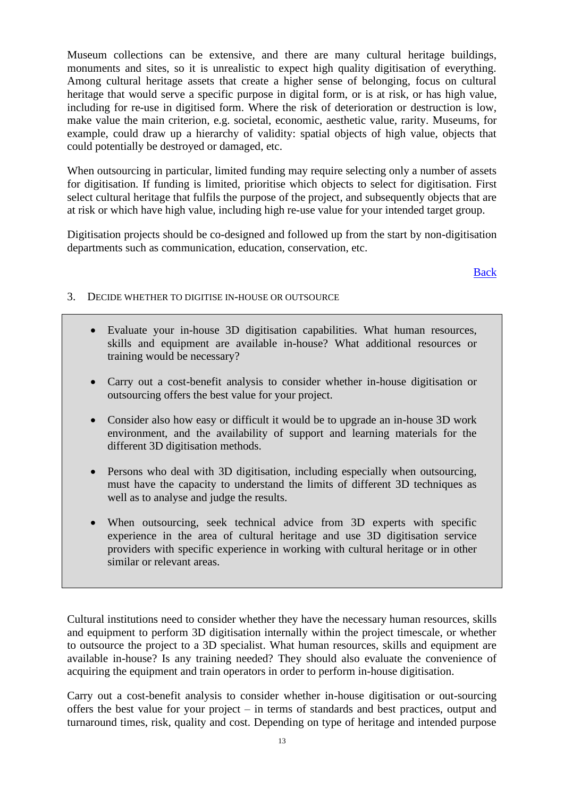Museum collections can be extensive, and there are many cultural heritage buildings, monuments and sites, so it is unrealistic to expect high quality digitisation of everything. Among cultural heritage assets that create a higher sense of belonging, focus on cultural heritage that would serve a specific purpose in digital form, or is at risk, or has high value, including for re-use in digitised form. Where the risk of deterioration or destruction is low, make value the main criterion, e.g. societal, economic, aesthetic value, rarity. Museums, for example, could draw up a hierarchy of validity: spatial objects of high value, objects that could potentially be destroyed or damaged, etc.

When outsourcing in particular, limited funding may require selecting only a number of assets for digitisation. If funding is limited, prioritise which objects to select for digitisation. First select cultural heritage that fulfils the purpose of the project, and subsequently objects that are at risk or which have high value, including high re-use value for your intended target group.

Digitisation projects should be co-designed and followed up from the start by non-digitisation departments such as communication, education, conservation, etc.

[Back](#page-2-0)

- <span id="page-12-0"></span>3. DECIDE WHETHER TO DIGITISE IN-HOUSE OR OUTSOURCE
	- Evaluate your in-house 3D digitisation capabilities. What human resources, skills and equipment are available in-house? What additional resources or training would be necessary?
	- Carry out a cost-benefit analysis to consider whether in-house digitisation or outsourcing offers the best value for your project.
	- Consider also how easy or difficult it would be to upgrade an in-house 3D work environment, and the availability of support and learning materials for the different 3D digitisation methods.
	- Persons who deal with 3D digitisation, including especially when outsourcing, must have the capacity to understand the limits of different 3D techniques as well as to analyse and judge the results.
	- When outsourcing, seek technical advice from 3D experts with specific experience in the area of cultural heritage and use 3D digitisation service providers with specific experience in working with cultural heritage or in other similar or relevant areas.

Cultural institutions need to consider whether they have the necessary human resources, skills and equipment to perform 3D digitisation internally within the project timescale, or whether to outsource the project to a 3D specialist. What human resources, skills and equipment are available in-house? Is any training needed? They should also evaluate the convenience of acquiring the equipment and train operators in order to perform in-house digitisation.

Carry out a cost-benefit analysis to consider whether in-house digitisation or out-sourcing offers the best value for your project – in terms of standards and best practices, output and turnaround times, risk, quality and cost. Depending on type of heritage and intended purpose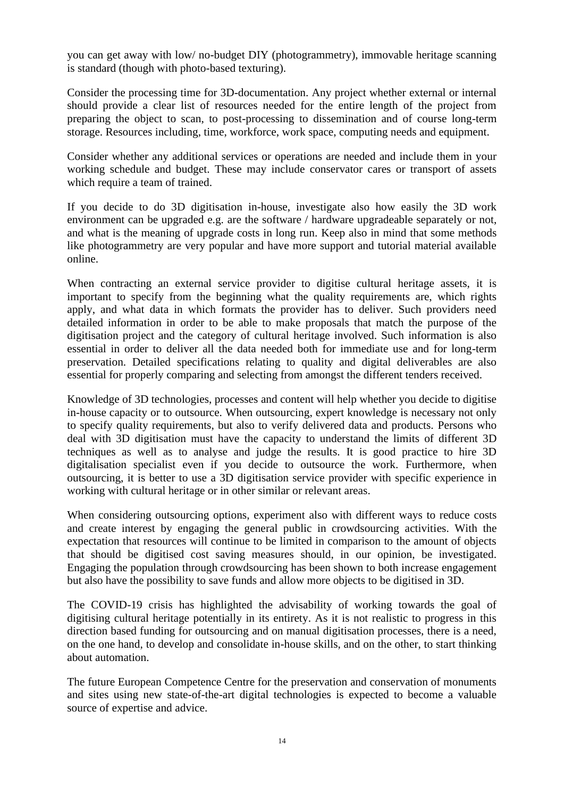you can get away with low/ no-budget DIY (photogrammetry), immovable heritage scanning is standard (though with photo-based texturing).

Consider the processing time for 3D-documentation. Any project whether external or internal should provide a clear list of resources needed for the entire length of the project from preparing the object to scan, to post-processing to dissemination and of course long-term storage. Resources including, time, workforce, work space, computing needs and equipment.

Consider whether any additional services or operations are needed and include them in your working schedule and budget. These may include conservator cares or transport of assets which require a team of trained.

If you decide to do 3D digitisation in-house, investigate also how easily the 3D work environment can be upgraded e.g. are the software / hardware upgradeable separately or not, and what is the meaning of upgrade costs in long run. Keep also in mind that some methods like photogrammetry are very popular and have more support and tutorial material available online.

When contracting an external service provider to digitise cultural heritage assets, it is important to specify from the beginning what the quality requirements are, which rights apply, and what data in which formats the provider has to deliver. Such providers need detailed information in order to be able to make proposals that match the purpose of the digitisation project and the category of cultural heritage involved. Such information is also essential in order to deliver all the data needed both for immediate use and for long-term preservation. Detailed specifications relating to quality and digital deliverables are also essential for properly comparing and selecting from amongst the different tenders received.

Knowledge of 3D technologies, processes and content will help whether you decide to digitise in-house capacity or to outsource. When outsourcing, expert knowledge is necessary not only to specify quality requirements, but also to verify delivered data and products. Persons who deal with 3D digitisation must have the capacity to understand the limits of different 3D techniques as well as to analyse and judge the results. It is good practice to hire 3D digitalisation specialist even if you decide to outsource the work. Furthermore, when outsourcing, it is better to use a 3D digitisation service provider with specific experience in working with cultural heritage or in other similar or relevant areas.

When considering outsourcing options, experiment also with different ways to reduce costs and create interest by engaging the general public in crowdsourcing activities. With the expectation that resources will continue to be limited in comparison to the amount of objects that should be digitised cost saving measures should, in our opinion, be investigated. Engaging the population through crowdsourcing has been shown to both increase engagement but also have the possibility to save funds and allow more objects to be digitised in 3D.

The COVID-19 crisis has highlighted the advisability of working towards the goal of digitising cultural heritage potentially in its entirety. As it is not realistic to progress in this direction based funding for outsourcing and on manual digitisation processes, there is a need, on the one hand, to develop and consolidate in-house skills, and on the other, to start thinking about automation.

The future European Competence Centre for the preservation and conservation of monuments and sites using new state-of-the-art digital technologies is expected to become a valuable source of expertise and advice.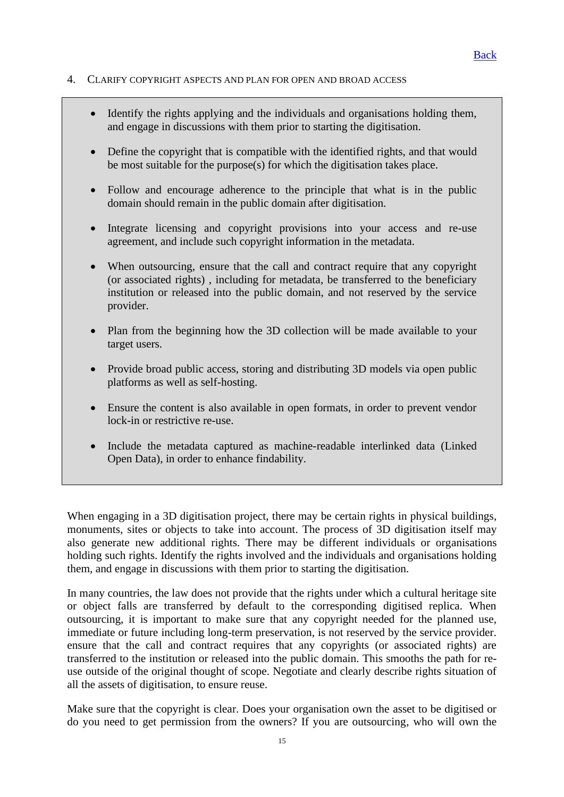#### <span id="page-14-0"></span>4. CLARIFY COPYRIGHT ASPECTS AND PLAN FOR OPEN AND BROAD ACCESS

- Identify the rights applying and the individuals and organisations holding them, and engage in discussions with them prior to starting the digitisation.
- Define the copyright that is compatible with the identified rights, and that would be most suitable for the purpose(s) for which the digitisation takes place.
- Follow and encourage adherence to the principle that what is in the public domain should remain in the public domain after digitisation.
- Integrate licensing and copyright provisions into your access and re-use agreement, and include such copyright information in the metadata.
- When outsourcing, ensure that the call and contract require that any copyright (or associated rights) , including for metadata, be transferred to the beneficiary institution or released into the public domain, and not reserved by the service provider.
- Plan from the beginning how the 3D collection will be made available to your target users.
- Provide broad public access, storing and distributing 3D models via open public platforms as well as self-hosting.
- Ensure the content is also available in open formats, in order to prevent vendor lock-in or restrictive re-use.
- Include the metadata captured as machine-readable interlinked data (Linked Open Data), in order to enhance findability.

When engaging in a 3D digitisation project, there may be certain rights in physical buildings, monuments, sites or objects to take into account. The process of 3D digitisation itself may also generate new additional rights. There may be different individuals or organisations holding such rights. Identify the rights involved and the individuals and organisations holding them, and engage in discussions with them prior to starting the digitisation.

In many countries, the law does not provide that the rights under which a cultural heritage site or object falls are transferred by default to the corresponding digitised replica. When outsourcing, it is important to make sure that any copyright needed for the planned use, immediate or future including long-term preservation, is not reserved by the service provider. ensure that the call and contract requires that any copyrights (or associated rights) are transferred to the institution or released into the public domain. This smooths the path for reuse outside of the original thought of scope. Negotiate and clearly describe rights situation of all the assets of digitisation, to ensure reuse.

Make sure that the copyright is clear. Does your organisation own the asset to be digitised or do you need to get permission from the owners? If you are outsourcing, who will own the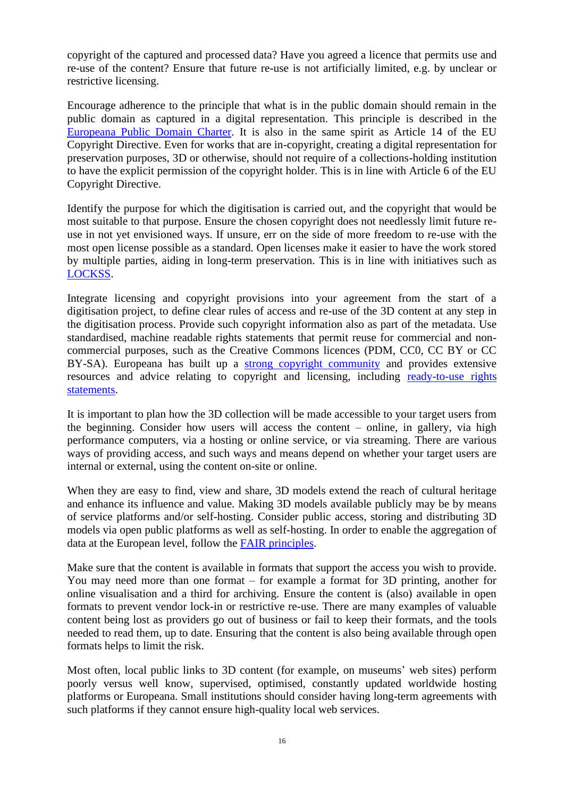copyright of the captured and processed data? Have you agreed a licence that permits use and re-use of the content? Ensure that future re-use is not artificially limited, e.g. by unclear or restrictive licensing.

Encourage adherence to the principle that what is in the public domain should remain in the public domain as captured in a digital representation. This principle is described in the [Europeana Public Domain Charter.](https://www.europeana.eu/en/rights/public-domain-charter) It is also in the same spirit as Article 14 of the EU Copyright Directive. Even for works that are in-copyright, creating a digital representation for preservation purposes, 3D or otherwise, should not require of a collections-holding institution to have the explicit permission of the copyright holder. This is in line with Article 6 of the EU Copyright Directive.

Identify the purpose for which the digitisation is carried out, and the copyright that would be most suitable to that purpose. Ensure the chosen copyright does not needlessly limit future reuse in not yet envisioned ways. If unsure, err on the side of more freedom to re-use with the most open license possible as a standard. Open licenses make it easier to have the work stored by multiple parties, aiding in long-term preservation. This is in line with initiatives such as [LOCKSS.](https://www.lockss.org/)

Integrate licensing and copyright provisions into your agreement from the start of a digitisation project, to define clear rules of access and re-use of the 3D content at any step in the digitisation process. Provide such copyright information also as part of the metadata. Use standardised, machine readable rights statements that permit reuse for commercial and noncommercial purposes, such as the Creative Commons licences (PDM, CC0, CC BY or CC BY-SA). Europeana has built up a [strong copyright community](https://pro.europeana.eu/network-association/special-interest-groups/europeana-copyright) and provides extensive resources and advice relating to copyright and licensing, including [ready-to-use rights](https://pro.europeana.eu/page/available-rights-statements)  [statements.](https://pro.europeana.eu/page/available-rights-statements)

It is important to plan how the 3D collection will be made accessible to your target users from the beginning. Consider how users will access the content – online, in gallery, via high performance computers, via a hosting or online service, or via streaming. There are various ways of providing access, and such ways and means depend on whether your target users are internal or external, using the content on-site or online.

When they are easy to find, view and share, 3D models extend the reach of cultural heritage and enhance its influence and value. Making 3D models available publicly may be by means of service platforms and/or self-hosting. Consider public access, storing and distributing 3D models via open public platforms as well as self-hosting. In order to enable the aggregation of data at the European level, follow the [FAIR principles.](https://www.go-fair.org/fair-principles/)

Make sure that the content is available in formats that support the access you wish to provide. You may need more than one format – for example a format for 3D printing, another for online visualisation and a third for archiving. Ensure the content is (also) available in open formats to prevent vendor lock-in or restrictive re-use. There are many examples of valuable content being lost as providers go out of business or fail to keep their formats, and the tools needed to read them, up to date. Ensuring that the content is also being available through open formats helps to limit the risk.

Most often, local public links to 3D content (for example, on museums' web sites) perform poorly versus well know, supervised, optimised, constantly updated worldwide hosting platforms or Europeana. Small institutions should consider having long-term agreements with such platforms if they cannot ensure high-quality local web services.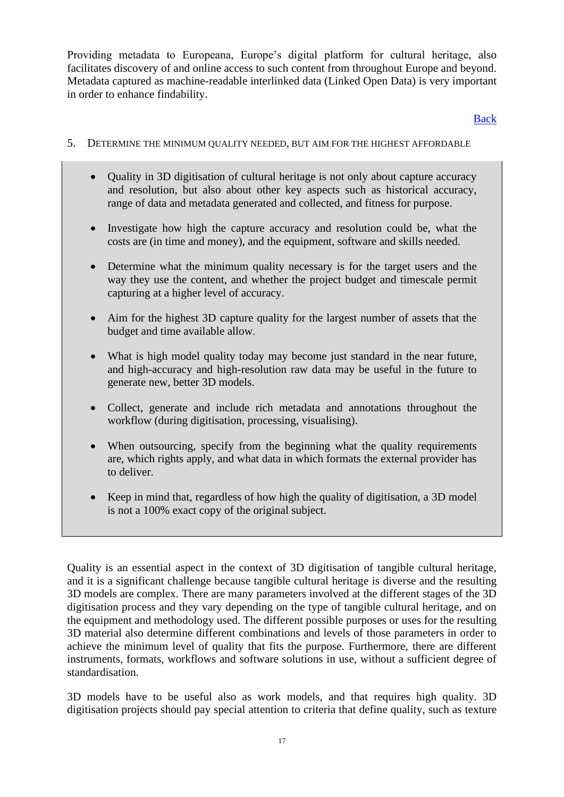Providing metadata to Europeana, Europe's digital platform for cultural heritage, also facilitates discovery of and online access to such content from throughout Europe and beyond. Metadata captured as machine-readable interlinked data (Linked Open Data) is very important in order to enhance findability.

[Back](#page-2-2)

- <span id="page-16-0"></span>5. DETERMINE THE MINIMUM QUALITY NEEDED, BUT AIM FOR THE HIGHEST AFFORDABLE
	- Quality in 3D digitisation of cultural heritage is not only about capture accuracy and resolution, but also about other key aspects such as historical accuracy, range of data and metadata generated and collected, and fitness for purpose.
	- Investigate how high the capture accuracy and resolution could be, what the costs are (in time and money), and the equipment, software and skills needed.
	- Determine what the minimum quality necessary is for the target users and the way they use the content, and whether the project budget and timescale permit capturing at a higher level of accuracy.
	- Aim for the highest 3D capture quality for the largest number of assets that the budget and time available allow.
	- What is high model quality today may become just standard in the near future, and high-accuracy and high-resolution raw data may be useful in the future to generate new, better 3D models.
	- Collect, generate and include rich metadata and annotations throughout the workflow (during digitisation, processing, visualising).
	- When outsourcing, specify from the beginning what the quality requirements are, which rights apply, and what data in which formats the external provider has to deliver.
	- Keep in mind that, regardless of how high the quality of digitisation, a 3D model is not a 100% exact copy of the original subject.

Quality is an essential aspect in the context of 3D digitisation of tangible cultural heritage, and it is a significant challenge because tangible cultural heritage is diverse and the resulting 3D models are complex. There are many parameters involved at the different stages of the 3D digitisation process and they vary depending on the type of tangible cultural heritage, and on the equipment and methodology used. The different possible purposes or uses for the resulting 3D material also determine different combinations and levels of those parameters in order to achieve the minimum level of quality that fits the purpose. Furthermore, there are different instruments, formats, workflows and software solutions in use, without a sufficient degree of standardisation.

3D models have to be useful also as work models, and that requires high quality. 3D digitisation projects should pay special attention to criteria that define quality, such as texture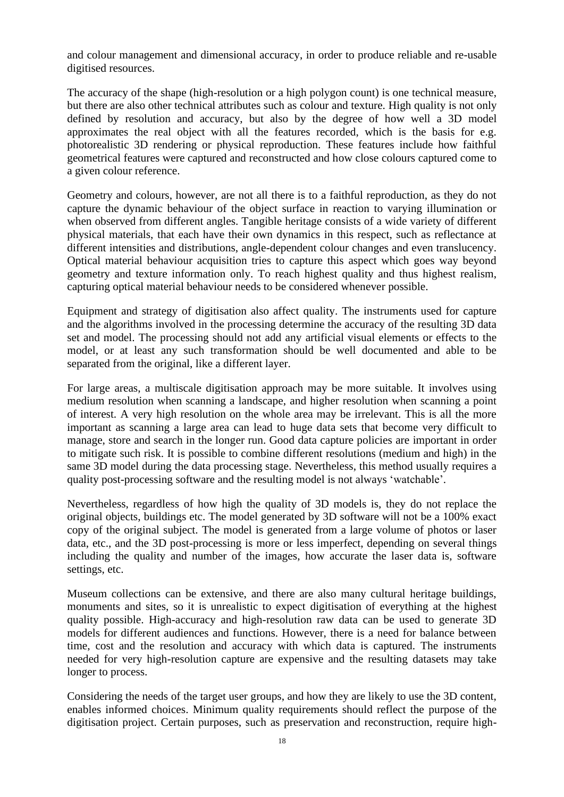and colour management and dimensional accuracy, in order to produce reliable and re-usable digitised resources.

The accuracy of the shape (high-resolution or a high polygon count) is one technical measure, but there are also other technical attributes such as colour and texture. High quality is not only defined by resolution and accuracy, but also by the degree of how well a 3D model approximates the real object with all the features recorded, which is the basis for e.g. photorealistic 3D rendering or physical reproduction. These features include how faithful geometrical features were captured and reconstructed and how close colours captured come to a given colour reference.

Geometry and colours, however, are not all there is to a faithful reproduction, as they do not capture the dynamic behaviour of the object surface in reaction to varying illumination or when observed from different angles. Tangible heritage consists of a wide variety of different physical materials, that each have their own dynamics in this respect, such as reflectance at different intensities and distributions, angle-dependent colour changes and even translucency. Optical material behaviour acquisition tries to capture this aspect which goes way beyond geometry and texture information only. To reach highest quality and thus highest realism, capturing optical material behaviour needs to be considered whenever possible.

Equipment and strategy of digitisation also affect quality. The instruments used for capture and the algorithms involved in the processing determine the accuracy of the resulting 3D data set and model. The processing should not add any artificial visual elements or effects to the model, or at least any such transformation should be well documented and able to be separated from the original, like a different layer.

For large areas, a multiscale digitisation approach may be more suitable. It involves using medium resolution when scanning a landscape, and higher resolution when scanning a point of interest. A very high resolution on the whole area may be irrelevant. This is all the more important as scanning a large area can lead to huge data sets that become very difficult to manage, store and search in the longer run. Good data capture policies are important in order to mitigate such risk. It is possible to combine different resolutions (medium and high) in the same 3D model during the data processing stage. Nevertheless, this method usually requires a quality post-processing software and the resulting model is not always 'watchable'.

Nevertheless, regardless of how high the quality of 3D models is, they do not replace the original objects, buildings etc. The model generated by 3D software will not be a 100% exact copy of the original subject. The model is generated from a large volume of photos or laser data, etc., and the 3D post-processing is more or less imperfect, depending on several things including the quality and number of the images, how accurate the laser data is, software settings, etc.

Museum collections can be extensive, and there are also many cultural heritage buildings, monuments and sites, so it is unrealistic to expect digitisation of everything at the highest quality possible. High-accuracy and high-resolution raw data can be used to generate 3D models for different audiences and functions. However, there is a need for balance between time, cost and the resolution and accuracy with which data is captured. The instruments needed for very high-resolution capture are expensive and the resulting datasets may take longer to process.

Considering the needs of the target user groups, and how they are likely to use the 3D content, enables informed choices. Minimum quality requirements should reflect the purpose of the digitisation project. Certain purposes, such as preservation and reconstruction, require high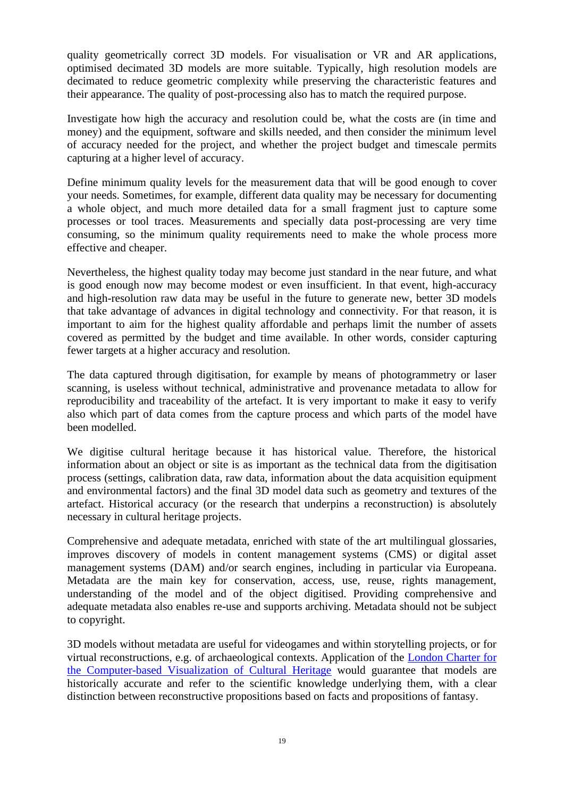quality geometrically correct 3D models. For visualisation or VR and AR applications, optimised decimated 3D models are more suitable. Typically, high resolution models are decimated to reduce geometric complexity while preserving the characteristic features and their appearance. The quality of post-processing also has to match the required purpose.

Investigate how high the accuracy and resolution could be, what the costs are (in time and money) and the equipment, software and skills needed, and then consider the minimum level of accuracy needed for the project, and whether the project budget and timescale permits capturing at a higher level of accuracy.

Define minimum quality levels for the measurement data that will be good enough to cover your needs. Sometimes, for example, different data quality may be necessary for documenting a whole object, and much more detailed data for a small fragment just to capture some processes or tool traces. Measurements and specially data post-processing are very time consuming, so the minimum quality requirements need to make the whole process more effective and cheaper.

Nevertheless, the highest quality today may become just standard in the near future, and what is good enough now may become modest or even insufficient. In that event, high-accuracy and high-resolution raw data may be useful in the future to generate new, better 3D models that take advantage of advances in digital technology and connectivity. For that reason, it is important to aim for the highest quality affordable and perhaps limit the number of assets covered as permitted by the budget and time available. In other words, consider capturing fewer targets at a higher accuracy and resolution.

The data captured through digitisation, for example by means of photogrammetry or laser scanning, is useless without technical, administrative and provenance metadata to allow for reproducibility and traceability of the artefact. It is very important to make it easy to verify also which part of data comes from the capture process and which parts of the model have been modelled.

We digitise cultural heritage because it has historical value. Therefore, the historical information about an object or site is as important as the technical data from the digitisation process (settings, calibration data, raw data, information about the data acquisition equipment and environmental factors) and the final 3D model data such as geometry and textures of the artefact. Historical accuracy (or the research that underpins a reconstruction) is absolutely necessary in cultural heritage projects.

Comprehensive and adequate metadata, enriched with state of the art multilingual glossaries, improves discovery of models in content management systems (CMS) or digital asset management systems (DAM) and/or search engines, including in particular via Europeana. Metadata are the main key for conservation, access, use, reuse, rights management, understanding of the model and of the object digitised. Providing comprehensive and adequate metadata also enables re-use and supports archiving. Metadata should not be subject to copyright.

3D models without metadata are useful for videogames and within storytelling projects, or for virtual reconstructions, e.g. of archaeological contexts. Application of the [London Charter for](http://www.londoncharter.org/)  [the Computer-based Visualization of Cultural Heritage](http://www.londoncharter.org/) would guarantee that models are historically accurate and refer to the scientific knowledge underlying them, with a clear distinction between reconstructive propositions based on facts and propositions of fantasy.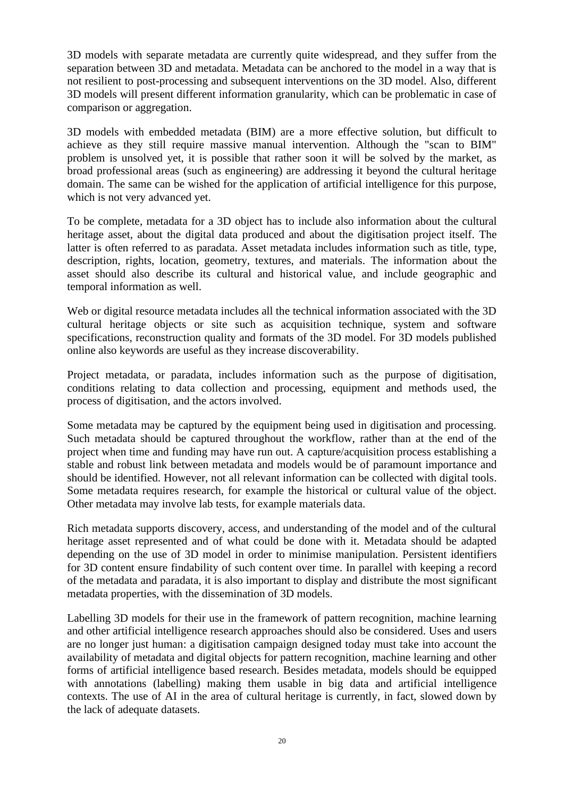3D models with separate metadata are currently quite widespread, and they suffer from the separation between 3D and metadata. Metadata can be anchored to the model in a way that is not resilient to post-processing and subsequent interventions on the 3D model. Also, different 3D models will present different information granularity, which can be problematic in case of comparison or aggregation.

3D models with embedded metadata (BIM) are a more effective solution, but difficult to achieve as they still require massive manual intervention. Although the "scan to BIM" problem is unsolved yet, it is possible that rather soon it will be solved by the market, as broad professional areas (such as engineering) are addressing it beyond the cultural heritage domain. The same can be wished for the application of artificial intelligence for this purpose, which is not very advanced yet.

To be complete, metadata for a 3D object has to include also information about the cultural heritage asset, about the digital data produced and about the digitisation project itself. The latter is often referred to as paradata. Asset metadata includes information such as title, type, description, rights, location, geometry, textures, and materials. The information about the asset should also describe its cultural and historical value, and include geographic and temporal information as well.

Web or digital resource metadata includes all the technical information associated with the 3D cultural heritage objects or site such as acquisition technique, system and software specifications, reconstruction quality and formats of the 3D model. For 3D models published online also keywords are useful as they increase discoverability.

Project metadata, or paradata, includes information such as the purpose of digitisation, conditions relating to data collection and processing, equipment and methods used, the process of digitisation, and the actors involved.

Some metadata may be captured by the equipment being used in digitisation and processing. Such metadata should be captured throughout the workflow, rather than at the end of the project when time and funding may have run out. A capture/acquisition process establishing a stable and robust link between metadata and models would be of paramount importance and should be identified. However, not all relevant information can be collected with digital tools. Some metadata requires research, for example the historical or cultural value of the object. Other metadata may involve lab tests, for example materials data.

Rich metadata supports discovery, access, and understanding of the model and of the cultural heritage asset represented and of what could be done with it. Metadata should be adapted depending on the use of 3D model in order to minimise manipulation. Persistent identifiers for 3D content ensure findability of such content over time. In parallel with keeping a record of the metadata and paradata, it is also important to display and distribute the most significant metadata properties, with the dissemination of 3D models.

Labelling 3D models for their use in the framework of pattern recognition, machine learning and other artificial intelligence research approaches should also be considered. Uses and users are no longer just human: a digitisation campaign designed today must take into account the availability of metadata and digital objects for pattern recognition, machine learning and other forms of artificial intelligence based research. Besides metadata, models should be equipped with annotations (labelling) making them usable in big data and artificial intelligence contexts. The use of AI in the area of cultural heritage is currently, in fact, slowed down by the lack of adequate datasets.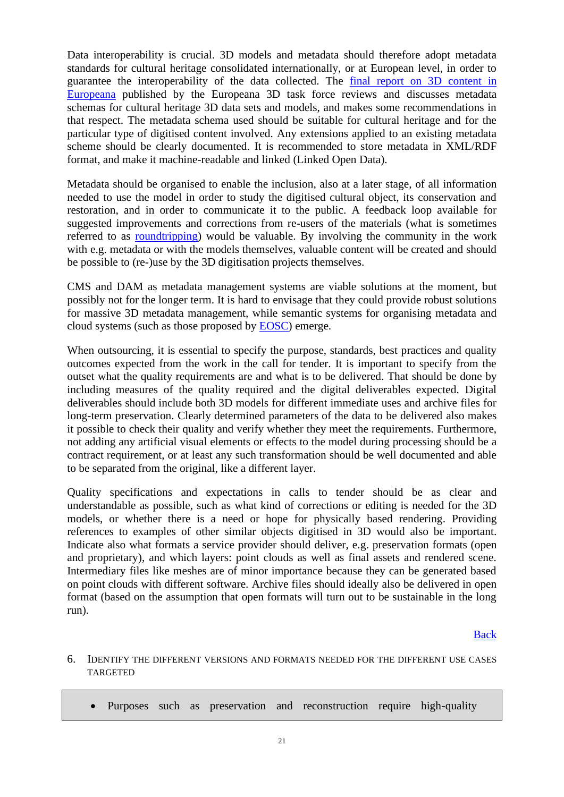Data interoperability is crucial. 3D models and metadata should therefore adopt metadata standards for cultural heritage consolidated internationally, or at European level, in order to guarantee the interoperability of the data collected. The [final report on 3D content in](https://pro.europeana.eu/files/Europeana_Professional/Europeana_Network/Europeana_Network_Task_Forces/Final_reports/3D-TF-final%20report.pdf)  [Europeana](https://pro.europeana.eu/files/Europeana_Professional/Europeana_Network/Europeana_Network_Task_Forces/Final_reports/3D-TF-final%20report.pdf) published by the Europeana 3D task force reviews and discusses metadata schemas for cultural heritage 3D data sets and models, and makes some recommendations in that respect. The metadata schema used should be suitable for cultural heritage and for the particular type of digitised content involved. Any extensions applied to an existing metadata scheme should be clearly documented. It is recommended to store metadata in XML/RDF format, and make it machine-readable and linked (Linked Open Data).

Metadata should be organised to enable the inclusion, also at a later stage, of all information needed to use the model in order to study the digitised cultural object, its conservation and restoration, and in order to communicate it to the public. A feedback loop available for suggested improvements and corrections from re-users of the materials (what is sometimes referred to as [roundtripping\)](https://meta.wikimedia.org/wiki/Wikimedia_Commons_Data_Roundtripping) would be valuable. By involving the community in the work with e.g. metadata or with the models themselves, valuable content will be created and should be possible to (re-)use by the 3D digitisation projects themselves.

CMS and DAM as metadata management systems are viable solutions at the moment, but possibly not for the longer term. It is hard to envisage that they could provide robust solutions for massive 3D metadata management, while semantic systems for organising metadata and cloud systems (such as those proposed by [EOSC\)](https://ec.europa.eu/research/openscience/index.cfm?pg=open-science-cloud) emerge.

When outsourcing, it is essential to specify the purpose, standards, best practices and quality outcomes expected from the work in the call for tender. It is important to specify from the outset what the quality requirements are and what is to be delivered. That should be done by including measures of the quality required and the digital deliverables expected. Digital deliverables should include both 3D models for different immediate uses and archive files for long-term preservation. Clearly determined parameters of the data to be delivered also makes it possible to check their quality and verify whether they meet the requirements. Furthermore, not adding any artificial visual elements or effects to the model during processing should be a contract requirement, or at least any such transformation should be well documented and able to be separated from the original, like a different layer.

Quality specifications and expectations in calls to tender should be as clear and understandable as possible, such as what kind of corrections or editing is needed for the 3D models, or whether there is a need or hope for physically based rendering. Providing references to examples of other similar objects digitised in 3D would also be important. Indicate also what formats a service provider should deliver, e.g. preservation formats (open and proprietary), and which layers: point clouds as well as final assets and rendered scene. Intermediary files like meshes are of minor importance because they can be generated based on point clouds with different software. Archive files should ideally also be delivered in open format (based on the assumption that open formats will turn out to be sustainable in the long run).

[Back](#page-3-0)

- <span id="page-20-0"></span>6. IDENTIFY THE DIFFERENT VERSIONS AND FORMATS NEEDED FOR THE DIFFERENT USE CASES TARGETED
	- Purposes such as preservation and reconstruction require high-quality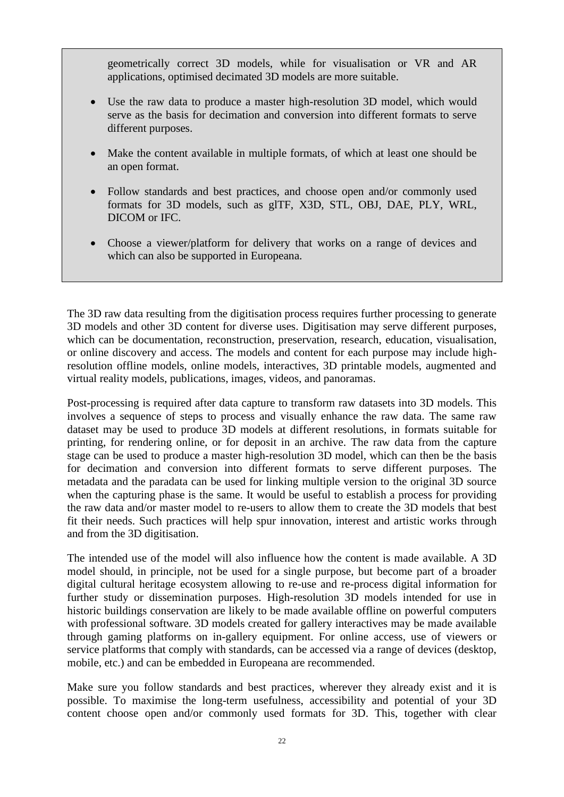geometrically correct 3D models, while for visualisation or VR and AR applications, optimised decimated 3D models are more suitable.

- Use the raw data to produce a master high-resolution 3D model, which would serve as the basis for decimation and conversion into different formats to serve different purposes.
- Make the content available in multiple formats, of which at least one should be an open format.
- Follow standards and best practices, and choose open and/or commonly used formats for 3D models, such as glTF, X3D, STL, OBJ, DAE, PLY, WRL, DICOM or IFC.
- Choose a viewer/platform for delivery that works on a range of devices and which can also be supported in Europeana.

The 3D raw data resulting from the digitisation process requires further processing to generate 3D models and other 3D content for diverse uses. Digitisation may serve different purposes, which can be documentation, reconstruction, preservation, research, education, visualisation, or online discovery and access. The models and content for each purpose may include highresolution offline models, online models, interactives, 3D printable models, augmented and virtual reality models, publications, images, videos, and panoramas.

Post-processing is required after data capture to transform raw datasets into 3D models. This involves a sequence of steps to process and visually enhance the raw data. The same raw dataset may be used to produce 3D models at different resolutions, in formats suitable for printing, for rendering online, or for deposit in an archive. The raw data from the capture stage can be used to produce a master high-resolution 3D model, which can then be the basis for decimation and conversion into different formats to serve different purposes. The metadata and the paradata can be used for linking multiple version to the original 3D source when the capturing phase is the same. It would be useful to establish a process for providing the raw data and/or master model to re-users to allow them to create the 3D models that best fit their needs. Such practices will help spur innovation, interest and artistic works through and from the 3D digitisation.

The intended use of the model will also influence how the content is made available. A 3D model should, in principle, not be used for a single purpose, but become part of a broader digital cultural heritage ecosystem allowing to re-use and re-process digital information for further study or dissemination purposes. High-resolution 3D models intended for use in historic buildings conservation are likely to be made available offline on powerful computers with professional software. 3D models created for gallery interactives may be made available through gaming platforms on in-gallery equipment. For online access, use of viewers or service platforms that comply with standards, can be accessed via a range of devices (desktop, mobile, etc.) and can be embedded in Europeana are recommended.

Make sure you follow standards and best practices, wherever they already exist and it is possible. To maximise the long-term usefulness, accessibility and potential of your 3D content choose open and/or commonly used formats for 3D. This, together with clear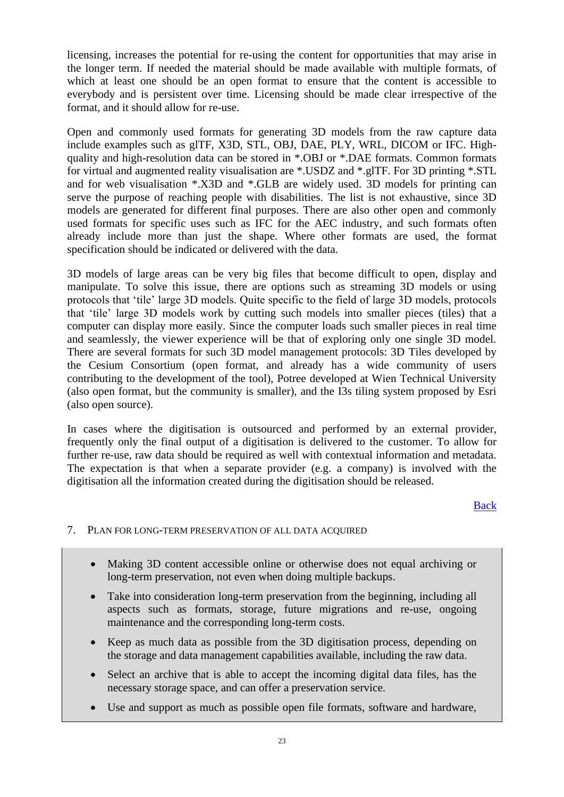licensing, increases the potential for re-using the content for opportunities that may arise in the longer term. If needed the material should be made available with multiple formats, of which at least one should be an open format to ensure that the content is accessible to everybody and is persistent over time. Licensing should be made clear irrespective of the format, and it should allow for re-use.

Open and commonly used formats for generating 3D models from the raw capture data include examples such as glTF, X3D, STL, OBJ, DAE, PLY, WRL, DICOM or IFC. Highquality and high-resolution data can be stored in \*.OBJ or \*.DAE formats. Common formats for virtual and augmented reality visualisation are \*.USDZ and \*.glTF. For 3D printing \*.STL and for web visualisation \*.X3D and \*.GLB are widely used. 3D models for printing can serve the purpose of reaching people with disabilities. The list is not exhaustive, since 3D models are generated for different final purposes. There are also other open and commonly used formats for specific uses such as IFC for the AEC industry, and such formats often already include more than just the shape. Where other formats are used, the format specification should be indicated or delivered with the data.

3D models of large areas can be very big files that become difficult to open, display and manipulate. To solve this issue, there are options such as streaming 3D models or using protocols that 'tile' large 3D models. Quite specific to the field of large 3D models, protocols that 'tile' large 3D models work by cutting such models into smaller pieces (tiles) that a computer can display more easily. Since the computer loads such smaller pieces in real time and seamlessly, the viewer experience will be that of exploring only one single 3D model. There are several formats for such 3D model management protocols: 3D Tiles developed by the Cesium Consortium (open format, and already has a wide community of users contributing to the development of the tool), Potree developed at Wien Technical University (also open format, but the community is smaller), and the I3s tiling system proposed by Esri (also open source).

In cases where the digitisation is outsourced and performed by an external provider, frequently only the final output of a digitisation is delivered to the customer. To allow for further re-use, raw data should be required as well with contextual information and metadata. The expectation is that when a separate provider (e.g. a company) is involved with the digitisation all the information created during the digitisation should be released.

#### [Back](#page-3-1)

### <span id="page-22-0"></span>7. PLAN FOR LONG-TERM PRESERVATION OF ALL DATA ACQUIRED

- Making 3D content accessible online or otherwise does not equal archiving or long-term preservation, not even when doing multiple backups.
- Take into consideration long-term preservation from the beginning, including all aspects such as formats, storage, future migrations and re-use, ongoing maintenance and the corresponding long-term costs.
- Keep as much data as possible from the 3D digitisation process, depending on the storage and data management capabilities available, including the raw data.
- Select an archive that is able to accept the incoming digital data files, has the necessary storage space, and can offer a preservation service.
- Use and support as much as possible open file formats, software and hardware,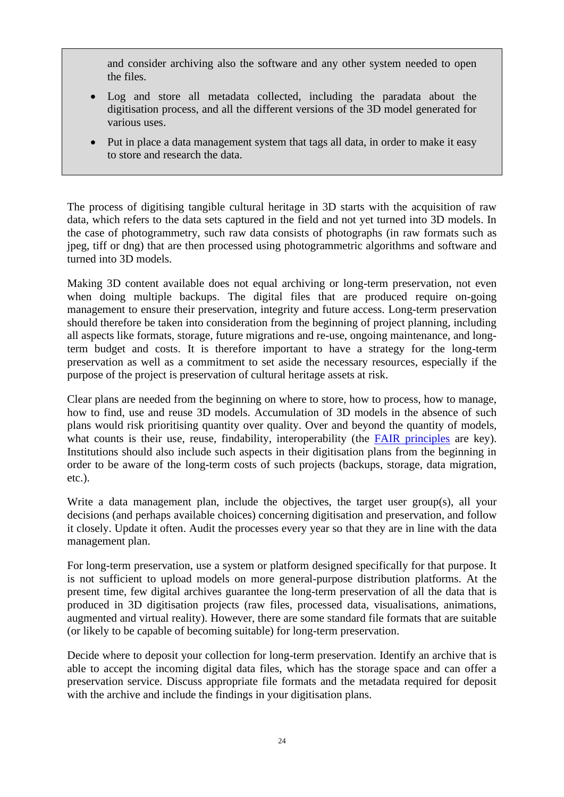and consider archiving also the software and any other system needed to open the files.

- Log and store all metadata collected, including the paradata about the digitisation process, and all the different versions of the 3D model generated for various uses.
- Put in place a data management system that tags all data, in order to make it easy to store and research the data.

The process of digitising tangible cultural heritage in 3D starts with the acquisition of raw data, which refers to the data sets captured in the field and not yet turned into 3D models. In the case of photogrammetry, such raw data consists of photographs (in raw formats such as jpeg, tiff or dng) that are then processed using photogrammetric algorithms and software and turned into 3D models.

Making 3D content available does not equal archiving or long-term preservation, not even when doing multiple backups. The digital files that are produced require on-going management to ensure their preservation, integrity and future access. Long-term preservation should therefore be taken into consideration from the beginning of project planning, including all aspects like formats, storage, future migrations and re-use, ongoing maintenance, and longterm budget and costs. It is therefore important to have a strategy for the long-term preservation as well as a commitment to set aside the necessary resources, especially if the purpose of the project is preservation of cultural heritage assets at risk.

Clear plans are needed from the beginning on where to store, how to process, how to manage, how to find, use and reuse 3D models. Accumulation of 3D models in the absence of such plans would risk prioritising quantity over quality. Over and beyond the quantity of models, what counts is their use, reuse, findability, interoperability (the [FAIR principles](https://www.go-fair.org/fair-principles/) are key). Institutions should also include such aspects in their digitisation plans from the beginning in order to be aware of the long-term costs of such projects (backups, storage, data migration, etc.).

Write a data management plan, include the objectives, the target user group(s), all your decisions (and perhaps available choices) concerning digitisation and preservation, and follow it closely. Update it often. Audit the processes every year so that they are in line with the data management plan.

For long-term preservation, use a system or platform designed specifically for that purpose. It is not sufficient to upload models on more general-purpose distribution platforms. At the present time, few digital archives guarantee the long-term preservation of all the data that is produced in 3D digitisation projects (raw files, processed data, visualisations, animations, augmented and virtual reality). However, there are some standard file formats that are suitable (or likely to be capable of becoming suitable) for long-term preservation.

Decide where to deposit your collection for long-term preservation. Identify an archive that is able to accept the incoming digital data files, which has the storage space and can offer a preservation service. Discuss appropriate file formats and the metadata required for deposit with the archive and include the findings in your digitisation plans.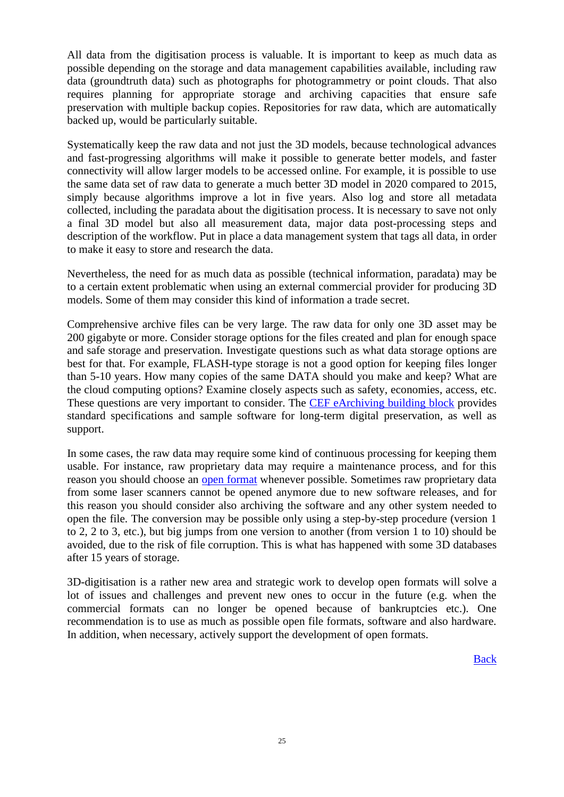All data from the digitisation process is valuable. It is important to keep as much data as possible depending on the storage and data management capabilities available, including raw data (groundtruth data) such as photographs for photogrammetry or point clouds. That also requires planning for appropriate storage and archiving capacities that ensure safe preservation with multiple backup copies. Repositories for raw data, which are automatically backed up, would be particularly suitable.

Systematically keep the raw data and not just the 3D models, because technological advances and fast-progressing algorithms will make it possible to generate better models, and faster connectivity will allow larger models to be accessed online. For example, it is possible to use the same data set of raw data to generate a much better 3D model in 2020 compared to 2015, simply because algorithms improve a lot in five years. Also log and store all metadata collected, including the paradata about the digitisation process. It is necessary to save not only a final 3D model but also all measurement data, major data post-processing steps and description of the workflow. Put in place a data management system that tags all data, in order to make it easy to store and research the data.

Nevertheless, the need for as much data as possible (technical information, paradata) may be to a certain extent problematic when using an external commercial provider for producing 3D models. Some of them may consider this kind of information a trade secret.

Comprehensive archive files can be very large. The raw data for only one 3D asset may be 200 gigabyte or more. Consider storage options for the files created and plan for enough space and safe storage and preservation. Investigate questions such as what data storage options are best for that. For example, FLASH-type storage is not a good option for keeping files longer than 5-10 years. How many copies of the same DATA should you make and keep? What are the cloud computing options? Examine closely aspects such as safety, economies, access, etc. These questions are very important to consider. The [CEF eArchiving building block](https://ec.europa.eu/cefdigital/wiki/display/CEFDIGITAL/eArchiving) provides standard specifications and sample software for long-term digital preservation, as well as support.

In some cases, the raw data may require some kind of continuous processing for keeping them usable. For instance, raw proprietary data may require a maintenance process, and for this reason you should choose an open [format](https://en.wikipedia.org/wiki/Open_format) whenever possible. Sometimes raw proprietary data from some laser scanners cannot be opened anymore due to new software releases, and for this reason you should consider also archiving the software and any other system needed to open the file. The conversion may be possible only using a step-by-step procedure (version 1 to 2, 2 to 3, etc.), but big jumps from one version to another (from version 1 to 10) should be avoided, due to the risk of file corruption. This is what has happened with some 3D databases after 15 years of storage.

3D-digitisation is a rather new area and strategic work to develop open formats will solve a lot of issues and challenges and prevent new ones to occur in the future (e.g. when the commercial formats can no longer be opened because of bankruptcies etc.). One recommendation is to use as much as possible open file formats, software and also hardware. In addition, when necessary, actively support the development of open formats.

**[Back](#page-4-0)**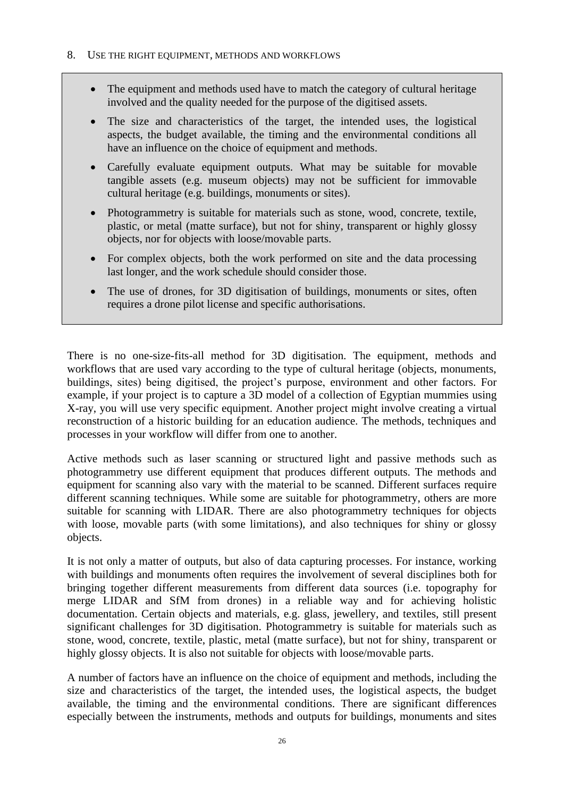- <span id="page-25-0"></span>• The equipment and methods used have to match the category of cultural heritage involved and the quality needed for the purpose of the digitised assets.
- The size and characteristics of the target, the intended uses, the logistical aspects, the budget available, the timing and the environmental conditions all have an influence on the choice of equipment and methods.
- Carefully evaluate equipment outputs. What may be suitable for movable tangible assets (e.g. museum objects) may not be sufficient for immovable cultural heritage (e.g. buildings, monuments or sites).
- Photogrammetry is suitable for materials such as stone, wood, concrete, textile, plastic, or metal (matte surface), but not for shiny, transparent or highly glossy objects, nor for objects with loose/movable parts.
- For complex objects, both the work performed on site and the data processing last longer, and the work schedule should consider those.
- The use of drones, for 3D digitisation of buildings, monuments or sites, often requires a drone pilot license and specific authorisations.

There is no one-size-fits-all method for 3D digitisation. The equipment, methods and workflows that are used vary according to the type of cultural heritage (objects, monuments, buildings, sites) being digitised, the project's purpose, environment and other factors. For example, if your project is to capture a 3D model of a collection of Egyptian mummies using X-ray, you will use very specific equipment. Another project might involve creating a virtual reconstruction of a historic building for an education audience. The methods, techniques and processes in your workflow will differ from one to another.

Active methods such as laser scanning or structured light and passive methods such as photogrammetry use different equipment that produces different outputs. The methods and equipment for scanning also vary with the material to be scanned. Different surfaces require different scanning techniques. While some are suitable for photogrammetry, others are more suitable for scanning with LIDAR. There are also photogrammetry techniques for objects with loose, movable parts (with some limitations), and also techniques for shiny or glossy objects.

It is not only a matter of outputs, but also of data capturing processes. For instance, working with buildings and monuments often requires the involvement of several disciplines both for bringing together different measurements from different data sources (i.e. topography for merge LIDAR and SfM from drones) in a reliable way and for achieving holistic documentation. Certain objects and materials, e.g. glass, jewellery, and textiles, still present significant challenges for 3D digitisation. Photogrammetry is suitable for materials such as stone, wood, concrete, textile, plastic, metal (matte surface), but not for shiny, transparent or highly glossy objects. It is also not suitable for objects with loose/movable parts.

A number of factors have an influence on the choice of equipment and methods, including the size and characteristics of the target, the intended uses, the logistical aspects, the budget available, the timing and the environmental conditions. There are significant differences especially between the instruments, methods and outputs for buildings, monuments and sites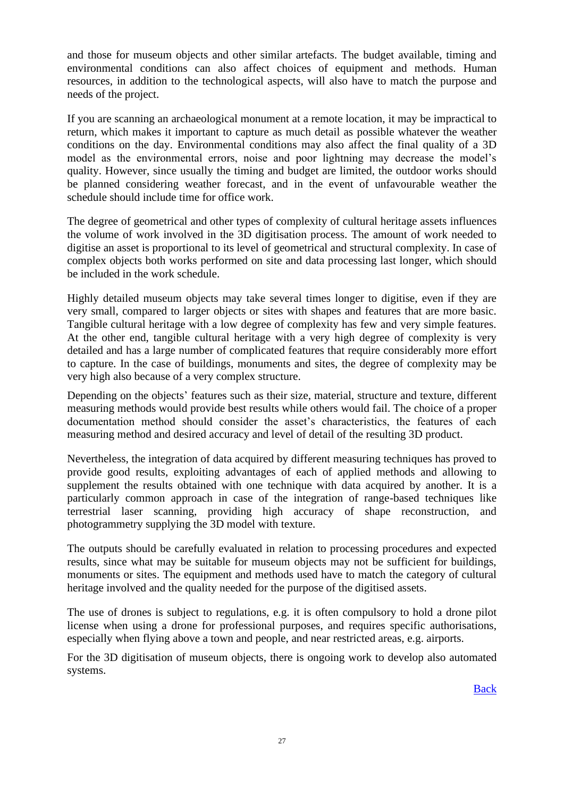and those for museum objects and other similar artefacts. The budget available, timing and environmental conditions can also affect choices of equipment and methods. Human resources, in addition to the technological aspects, will also have to match the purpose and needs of the project.

If you are scanning an archaeological monument at a remote location, it may be impractical to return, which makes it important to capture as much detail as possible whatever the weather conditions on the day. Environmental conditions may also affect the final quality of a 3D model as the environmental errors, noise and poor lightning may decrease the model's quality. However, since usually the timing and budget are limited, the outdoor works should be planned considering weather forecast, and in the event of unfavourable weather the schedule should include time for office work.

The degree of geometrical and other types of complexity of cultural heritage assets influences the volume of work involved in the 3D digitisation process. The amount of work needed to digitise an asset is proportional to its level of geometrical and structural complexity. In case of complex objects both works performed on site and data processing last longer, which should be included in the work schedule.

Highly detailed museum objects may take several times longer to digitise, even if they are very small, compared to larger objects or sites with shapes and features that are more basic. Tangible cultural heritage with a low degree of complexity has few and very simple features. At the other end, tangible cultural heritage with a very high degree of complexity is very detailed and has a large number of complicated features that require considerably more effort to capture. In the case of buildings, monuments and sites, the degree of complexity may be very high also because of a very complex structure.

Depending on the objects' features such as their size, material, structure and texture, different measuring methods would provide best results while others would fail. The choice of a proper documentation method should consider the asset's characteristics, the features of each measuring method and desired accuracy and level of detail of the resulting 3D product.

Nevertheless, the integration of data acquired by different measuring techniques has proved to provide good results, exploiting advantages of each of applied methods and allowing to supplement the results obtained with one technique with data acquired by another. It is a particularly common approach in case of the integration of range-based techniques like terrestrial laser scanning, providing high accuracy of shape reconstruction, and photogrammetry supplying the 3D model with texture.

The outputs should be carefully evaluated in relation to processing procedures and expected results, since what may be suitable for museum objects may not be sufficient for buildings, monuments or sites. The equipment and methods used have to match the category of cultural heritage involved and the quality needed for the purpose of the digitised assets.

The use of drones is subject to regulations, e.g. it is often compulsory to hold a drone pilot license when using a drone for professional purposes, and requires specific authorisations, especially when flying above a town and people, and near restricted areas, e.g. airports.

For the 3D digitisation of museum objects, there is ongoing work to develop also automated systems.

[Back](#page-4-1)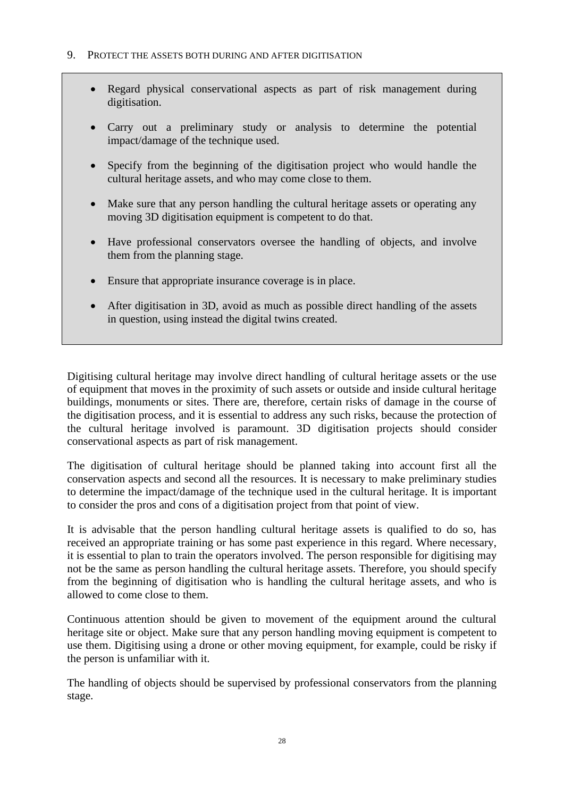- <span id="page-27-0"></span>• Regard physical conservational aspects as part of risk management during digitisation.
- Carry out a preliminary study or analysis to determine the potential impact/damage of the technique used.
- Specify from the beginning of the digitisation project who would handle the cultural heritage assets, and who may come close to them.
- Make sure that any person handling the cultural heritage assets or operating any moving 3D digitisation equipment is competent to do that.
- Have professional conservators oversee the handling of objects, and involve them from the planning stage.
- Ensure that appropriate insurance coverage is in place.
- After digitisation in 3D, avoid as much as possible direct handling of the assets in question, using instead the digital twins created.

Digitising cultural heritage may involve direct handling of cultural heritage assets or the use of equipment that moves in the proximity of such assets or outside and inside cultural heritage buildings, monuments or sites. There are, therefore, certain risks of damage in the course of the digitisation process, and it is essential to address any such risks, because the protection of the cultural heritage involved is paramount. 3D digitisation projects should consider conservational aspects as part of risk management.

The digitisation of cultural heritage should be planned taking into account first all the conservation aspects and second all the resources. It is necessary to make preliminary studies to determine the impact/damage of the technique used in the cultural heritage. It is important to consider the pros and cons of a digitisation project from that point of view.

It is advisable that the person handling cultural heritage assets is qualified to do so, has received an appropriate training or has some past experience in this regard. Where necessary, it is essential to plan to train the operators involved. The person responsible for digitising may not be the same as person handling the cultural heritage assets. Therefore, you should specify from the beginning of digitisation who is handling the cultural heritage assets, and who is allowed to come close to them.

Continuous attention should be given to movement of the equipment around the cultural heritage site or object. Make sure that any person handling moving equipment is competent to use them. Digitising using a drone or other moving equipment, for example, could be risky if the person is unfamiliar with it.

The handling of objects should be supervised by professional conservators from the planning stage.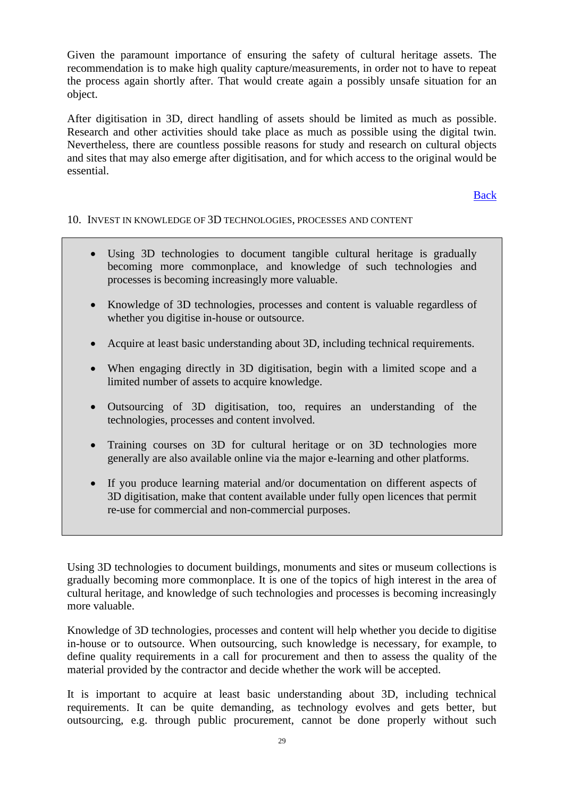Given the paramount importance of ensuring the safety of cultural heritage assets. The recommendation is to make high quality capture/measurements, in order not to have to repeat the process again shortly after. That would create again a possibly unsafe situation for an object.

After digitisation in 3D, direct handling of assets should be limited as much as possible. Research and other activities should take place as much as possible using the digital twin. Nevertheless, there are countless possible reasons for study and research on cultural objects and sites that may also emerge after digitisation, and for which access to the original would be essential.

[Back](#page-5-0)

#### <span id="page-28-0"></span>10. INVEST IN KNOWLEDGE OF 3D TECHNOLOGIES, PROCESSES AND CONTENT

- Using 3D technologies to document tangible cultural heritage is gradually becoming more commonplace, and knowledge of such technologies and processes is becoming increasingly more valuable.
- Knowledge of 3D technologies, processes and content is valuable regardless of whether you digitise in-house or outsource.
- Acquire at least basic understanding about 3D, including technical requirements.
- When engaging directly in 3D digitisation, begin with a limited scope and a limited number of assets to acquire knowledge.
- Outsourcing of 3D digitisation, too, requires an understanding of the technologies, processes and content involved.
- Training courses on 3D for cultural heritage or on 3D technologies more generally are also available online via the major e-learning and other platforms.
- If you produce learning material and/or documentation on different aspects of 3D digitisation, make that content available under fully open licences that permit re-use for commercial and non-commercial purposes.

Using 3D technologies to document buildings, monuments and sites or museum collections is gradually becoming more commonplace. It is one of the topics of high interest in the area of cultural heritage, and knowledge of such technologies and processes is becoming increasingly more valuable.

Knowledge of 3D technologies, processes and content will help whether you decide to digitise in-house or to outsource. When outsourcing, such knowledge is necessary, for example, to define quality requirements in a call for procurement and then to assess the quality of the material provided by the contractor and decide whether the work will be accepted.

It is important to acquire at least basic understanding about 3D, including technical requirements. It can be quite demanding, as technology evolves and gets better, but outsourcing, e.g. through public procurement, cannot be done properly without such